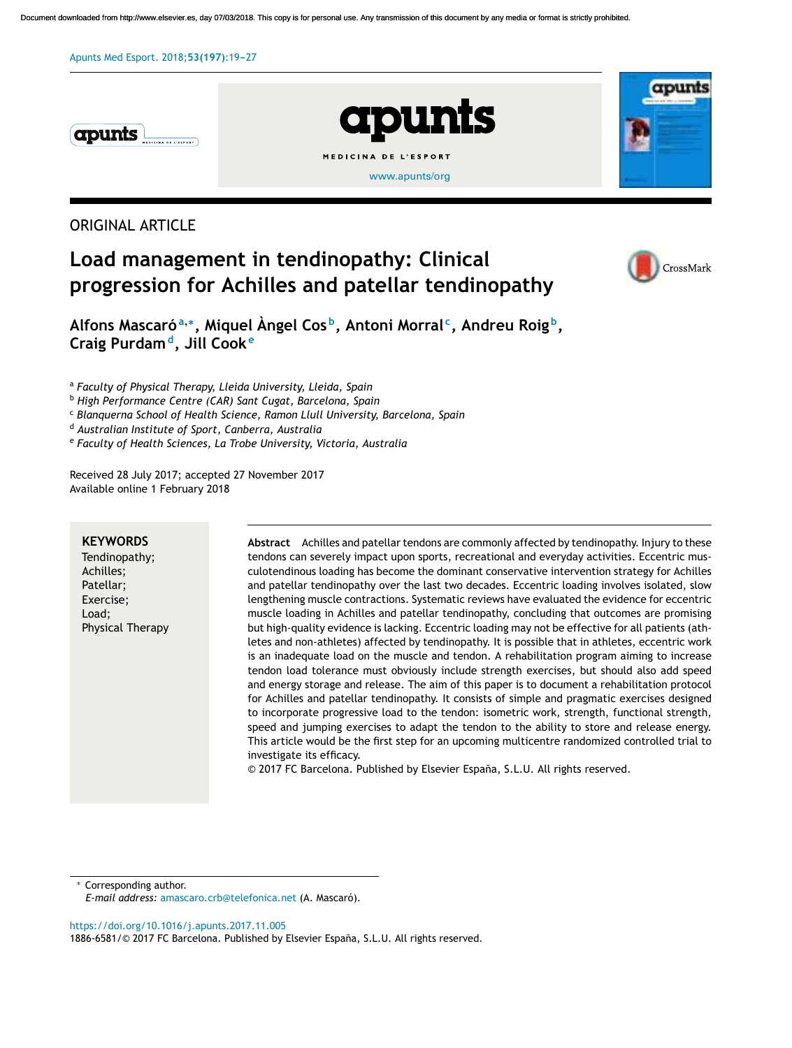

# **apunts** MEDICINA DE L'ESPORT [www.apunts/org](http://www.apunts/org)



# ORIGINAL ARTICLE

# **Load management in tendinopathy: Clinical progression for Achilles and patellar tendinopathy**



**Alfons Mascaró<sup>a</sup>**,<sup>∗</sup> **, Miquel Àngel Cos <sup>b</sup> , Antoni Morral <sup>c</sup> , Andreu Roig <sup>b</sup> , Craig Purdam<sup>d</sup> , Jill Cook <sup>e</sup>**

<sup>a</sup> *Faculty of Physical Therapy, Lleida University, Lleida, Spain*

<sup>b</sup> *High Performance Centre (CAR) Sant Cugat, Barcelona, Spain*

<sup>c</sup> *Blanquerna School of Health Science, Ramon Llull University, Barcelona, Spain*

<sup>d</sup> *Australian Institute of Sport, Canberra, Australia*

<sup>e</sup> *Faculty of Health Sciences, La Trobe University, Victoria, Australia*

Received 28 July 2017; accepted 27 November 2017 Available online 1 February 2018

#### **KEYWORDS**

Tendinopathy; Achilles; Patellar; Exercise; Load; Physical Therapy **Abstract** Achilles and patellar tendons are commonly affected by tendinopathy. Injury to these tendons can severely impact upon sports, recreational and everyday activities. Eccentric musculotendinous loading has become the dominant conservative intervention strategy for Achilles and patellar tendinopathy over the last two decades. Eccentric loading involves isolated, slow lengthening muscle contractions. Systematic reviews have evaluated the evidence for eccentric muscle loading in Achilles and patellar tendinopathy, concluding that outcomes are promising but high-quality evidence is lacking. Eccentric loading may not be effective for all patients (athletes and non-athletes) affected by tendinopathy. It is possible that in athletes, eccentric work is an inadequate load on the muscle and tendon. A rehabilitation program aiming to increase tendon load tolerance must obviously include strength exercises, but should also add speed and energy storage and release. The aim of this paper is to document a rehabilitation protocol for Achilles and patellar tendinopathy. It consists of simple and pragmatic exercises designed to incorporate progressive load to the tendon: isometric work, strength, functional strength, speed and jumping exercises to adapt the tendon to the ability to store and release energy. This article would be the first step for an upcoming multicentre randomized controlled trial to investigate its efficacy.

© 2017 FC Barcelona. Published by Elsevier España, S.L.U. All rights reserved.

Corresponding author.

*E-mail address:* [amascaro.crb@telefonica.net](mailto:amascaro.crb@telefonica.net) (A. Mascaró).

<https://doi.org/10.1016/j.apunts.2017.11.005>

1886-6581/© 2017 FC Barcelona. Published by Elsevier España, S.L.U. All rights reserved.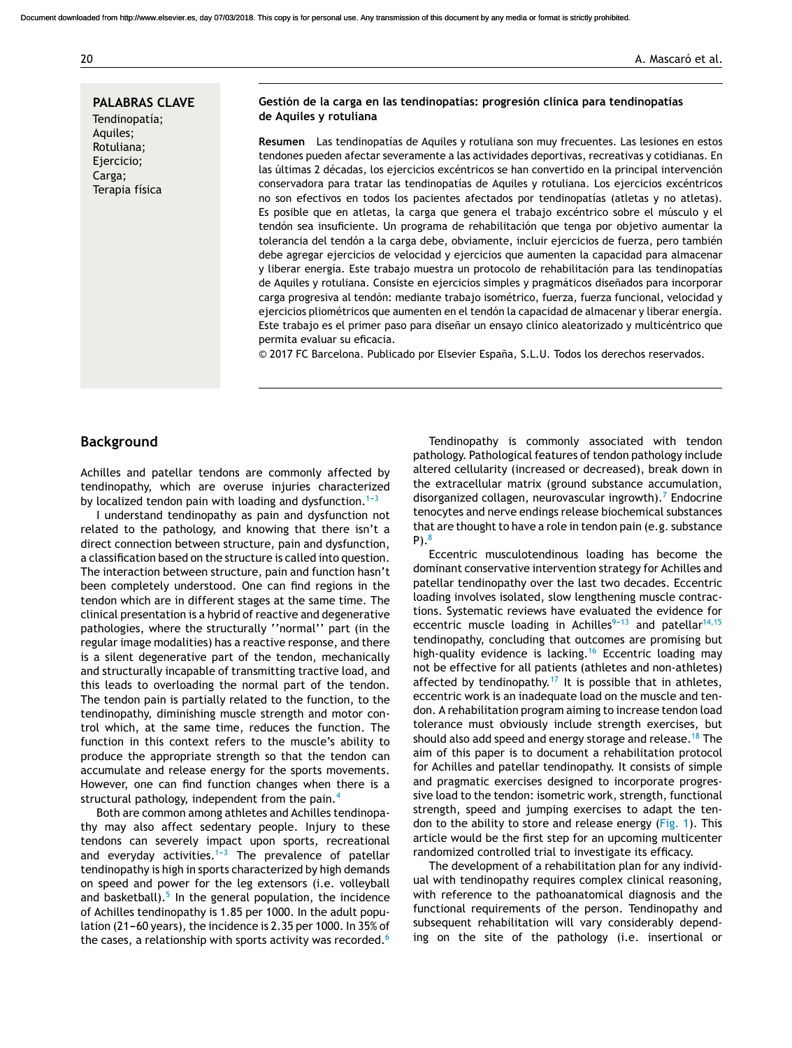#### 20 A. Mascaró et al.

**PALABRAS CLAVE** Tendinopatía; Aquiles; Rotuliana; Ejercicio; Carga;

Terapia física

#### **Gestión de la carga en las tendinopatías: progresión clínica para tendinopatías de Aquiles y rotuliana**

**Resumen** Las tendinopatías de Aquiles y rotuliana son muy frecuentes. Las lesiones en estos tendones pueden afectar severamente a las actividades deportivas, recreativas y cotidianas. En las últimas 2 décadas, los ejercicios excéntricos se han convertido en la principal intervención conservadora para tratar las tendinopatías de Aquiles y rotuliana. Los ejercicios excéntricos no son efectivos en todos los pacientes afectados por tendinopatías (atletas y no atletas). Es posible que en atletas, la carga que genera el trabajo excéntrico sobre el músculo y el tendón sea insuficiente. Un programa de rehabilitación que tenga por objetivo aumentar la tolerancia del tendón a la carga debe, obviamente, incluir ejercicios de fuerza, pero también debe agregar ejercicios de velocidad y ejercicios que aumenten la capacidad para almacenar y liberar energía. Este trabajo muestra un protocolo de rehabilitación para las tendinopatías de Aquiles y rotuliana. Consiste en ejercicios simples y pragmáticos diseñados para incorporar carga progresiva al tendón: mediante trabajo isométrico, fuerza, fuerza funcional, velocidad y ejercicios pliométricos que aumenten en el tendón la capacidad de almacenar y liberar energía. Este trabajo es el primer paso para diseñar un ensayo clínico aleatorizado y multicéntrico que permita evaluar su eficacia.

© 2017 FC Barcelona. Publicado por Elsevier España, S.L.U. Todos los derechos reservados.

## **Background**

Achilles and patellar tendons are commonly affected by tendinopathy, which are overuse injuries characterized by localized tendon pain with loading and dysfunction.<sup>1-3</sup>

I understand tendinopathy as pain and dysfunction not related to the pathology, and knowing that there isn't a direct connection between structure, pain and dysfunction, a classification based on the structure is called into question. The interaction between structure, pain and function hasn't been completely understood. One can find regions in the tendon which are in different stages at the same time. The clinical presentation is a hybrid of reactive and degenerative pathologies, where the structurally ''normal'' part (in the regular image modalities) has a reactive response, and there is a silent degenerative part of the tendon, mechanically and structurally incapable of transmitting tractive load, and this leads to overloading the normal part of the tendon. The tendon pain is partially related to the function, to the tendinopathy, diminishing muscle strength and motor control which, at the same time, reduces the function. The function in this context refers to the muscle's ability to produce the appropriate strength so that the tendon can accumulate and release energy for the sports movements. However, one can find function changes when there is a structural pathology, independent from the pain.<sup>[4](#page-7-0)</sup>

Both are common among athletes and Achilles tendinopathy may also affect sedentary people. Injury to these tendons can severely impact upon sports, recreational and everyday activities.<sup>1-3</sup> The prevalence of patellar tendinopathy is high in sports characterized by high demands on speed and power for the leg extensors (i.e. volleyball and basketball).<sup>[5](#page-7-0)</sup> In the general population, the incidence of Achilles tendinopathy is 1.85 per 1000. In the adult population (21-60 years), the incidence is 2.35 per 1000. In 35% of the cases, a relationship with sports activity was recorded.<sup>[6](#page-7-0)</sup>

Tendinopathy is commonly associated with tendon pathology. Pathological features of tendon pathology include altered cellularity (increased or decreased), break down in the extracellular matrix (ground substance accumulation, disorganized collagen, neurovascular ingrowth). $7$  [E](#page-7-0)ndocrine tenocytes and nerve endings release biochemical substances that are thought to have a role in tendon pain (e.g. substance  $P$ ).<sup>[8](#page-7-0)</sup>

Eccentric musculotendinous loading has become the dominant conservative intervention strategy for Achilles and patellar tendinopathy over the last two decades. Eccentric loading involves isolated, slow lengthening muscle contractions. Systematic reviews have evaluated the evidence for eccentric muscle loading in Achilles<sup>9-13</sup> and patellar<sup>[14,15](#page-7-0)</sup> tendinopathy, concluding that outcomes are promising but high-quality evidence is lacking.<sup>[16](#page-7-0)</sup> Eccentric loading may not be effective for all patients (athletes and non-athletes) affected by tendinopathy.<sup>[17](#page-7-0)</sup> It is possible that in athletes, eccentric work is an inadequate load on the muscle and tendon. A rehabilitation program aiming to increase tendon load tolerance must obviously include strength exercises, but should also add speed and energy storage and release.<sup>[18](#page-7-0)</sup> The aim of this paper is to document a rehabilitation protocol for Achilles and patellar tendinopathy. It consists of simple and pragmatic exercises designed to incorporate progressive load to the tendon: isometric work, strength, functional strength, speed and jumping exercises to adapt the tendon to the ability to store and release energy ([Fig.](#page-2-0) 1). This article would be the first step for an upcoming multicenter randomized controlled trial to investigate its efficacy.

The development of a rehabilitation plan for any individual with tendinopathy requires complex clinical reasoning, with reference to the pathoanatomical diagnosis and the functional requirements of the person. Tendinopathy and subsequent rehabilitation will vary considerably depending on the site of the pathology (i.e. insertional or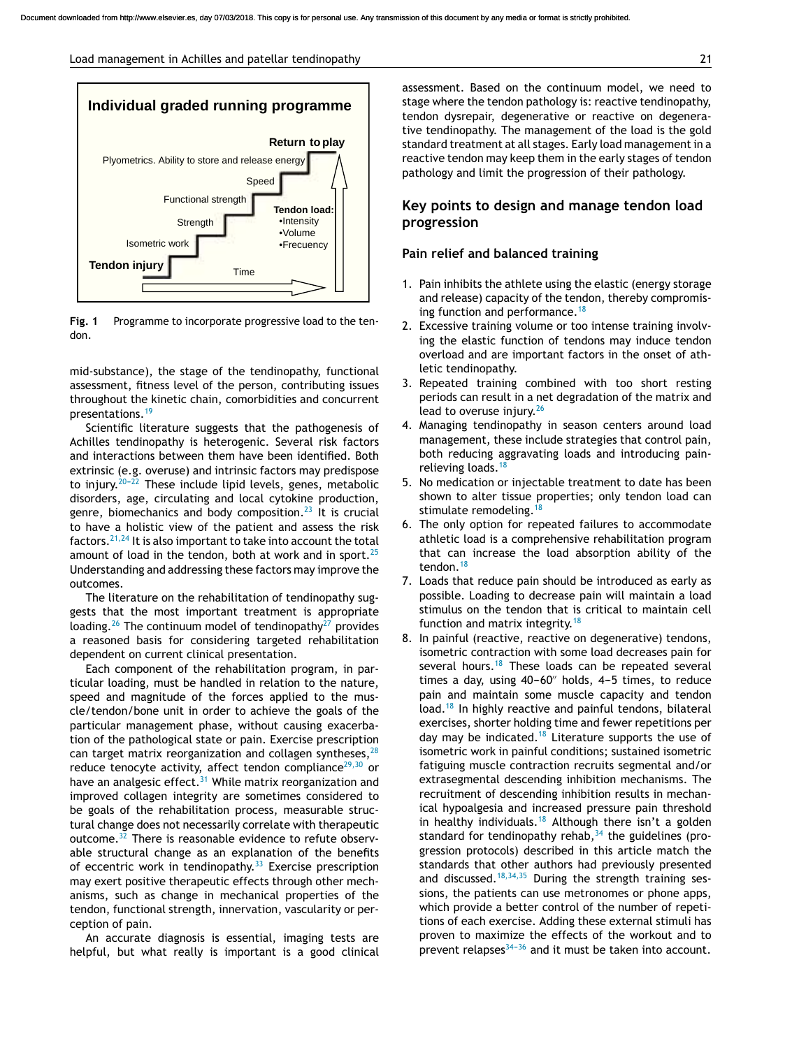<span id="page-2-0"></span>

**Fig. 1** Programme to incorporate progressive load to the tendon.

mid-substance), the stage of the tendinopathy, functional assessment, fitness level of the person, contributing issues throughout the kinetic chain, comorbidities and concurrent presentations.[19](#page-7-0)

Scientific literature suggests that the pathogenesis of Achilles tendinopathy is heterogenic. Several risk factors and interactions between them have been identified. Both extrinsic (e.g. overuse) and intrinsic factors may predispose to injury.<sup>20-22</sup> These include lipid levels, genes, metabolic disorders, age, circulating and local cytokine production, genre, biomechanics and body composition. $^{23}$  $^{23}$  $^{23}$  It is crucial to have a holistic view of the patient and assess the risk factors.  $21,24$  It is also important to take into account the total amount of load in the tendon, both at work and in sport. $25$ Understanding and addressing these factors may improve the outcomes.

The literature on the rehabilitation of tendinopathy suggests that the most important treatment is appropriate loading.<sup>[26](#page-7-0)</sup> The continuum model of tendinopathy<sup>[27](#page-7-0)</sup> provides a reasoned basis for considering targeted rehabilitation dependent on current clinical presentation.

Each component of the rehabilitation program, in particular loading, must be handled in relation to the nature, speed and magnitude of the forces applied to the muscle/tendon/bone unit in order to achieve the goals of the particular management phase, without causing exacerbation of the pathological state or pain. Exercise prescription can target matrix reorganization and collagen syntheses,  $28$ reduce tenocyte activity, affect tendon compliance $29,30$  or have an analgesic effect. $31$  While matrix reorganization and improved collagen integrity are sometimes considered to be goals of the rehabilitation process, measurable structural change does not necessarily correlate with therapeutic outcome.[32](#page-7-0) There is reasonable evidence to refute observable structural change as an explanation of the benefits of eccentric work in tendinopathy. $33$  Exercise prescription may exert positive therapeutic effects through other mechanisms, such as change in mechanical properties of the tendon, functional strength, innervation, vascularity or perception of pain.

An accurate diagnosis is essential, imaging tests are helpful, but what really is important is a good clinical assessment. Based on the continuum model, we need to stage where the tendon pathology is: reactive tendinopathy, tendon dysrepair, degenerative or reactive on degenerative tendinopathy. The management of the load is the gold standard treatment at all stages. Early load management in a reactive tendon may keep them in the early stages of tendon pathology and limit the progression of their pathology.

# **Key points to design and manage tendon load progression**

#### **Pain relief and balanced training**

- 1. Pain inhibits the athlete using the elastic (energy storage and release) capacity of the tendon, thereby compromis-ing function and performance.<sup>[18](#page-7-0)</sup>
- 2. Excessive training volume or too intense training involving the elastic function of tendons may induce tendon overload and are important factors in the onset of athletic tendinopathy.
- 3. Repeated training combined with too short resting periods can result in a net degradation of the matrix and lead to overuse injury. $26$
- 4. Managing tendinopathy in season centers around load management, these include strategies that control pain, both reducing aggravating loads and introducing pain-relieving loads.<sup>[18](#page-7-0)</sup>
- 5. No medication or injectable treatment to date has been shown to alter tissue properties; only tendon load can stimulate remodeling.<sup>[18](#page-7-0)</sup>
- 6. The only option for repeated failures to accommodate athletic load is a comprehensive rehabilitation program that can increase the load absorption ability of the tendon.<sup>[18](#page-7-0)</sup>
- 7. Loads that reduce pain should be introduced as early as possible. Loading to decrease pain will maintain a load stimulus on the tendon that is critical to maintain cell function and matrix integrity.<sup>[18](#page-7-0)</sup>
- 8. In painful (reactive, reactive on degenerative) tendons, isometric contraction with some load decreases pain for several hours.<sup>[18](#page-7-0)</sup> These loads can be repeated several times a day, using  $40-60$ " holds,  $4-5$  times, to reduce pain and maintain some muscle capacity and tendon load.<sup>[18](#page-7-0)</sup> In highly reactive and painful tendons, bilateral exercises, shorter holding time and fewer repetitions per day may be indicated.<sup>[18](#page-7-0)</sup> Literature supports the use of isometric work in painful conditions; sustained isometric fatiguing muscle contraction recruits segmental and/or extrasegmental descending inhibition mechanisms. The recruitment of descending inhibition results in mechanical hypoalgesia and increased pressure pain threshold in healthy individuals.<sup>[18](#page-7-0)</sup> Although there isn't a golden standard for tendinopathy rehab,  $34$  the guidelines (progression protocols) described in this article match the standards that other authors had previously presented and discussed.<sup>[18,34,35](#page-7-0)</sup> During the strength training sessions, the patients can use metronomes or phone apps, which provide a better control of the number of repetitions of each exercise. Adding these external stimuli has proven to maximize the effects of the workout and to prevent relapses $34-36$  and it must be taken into account.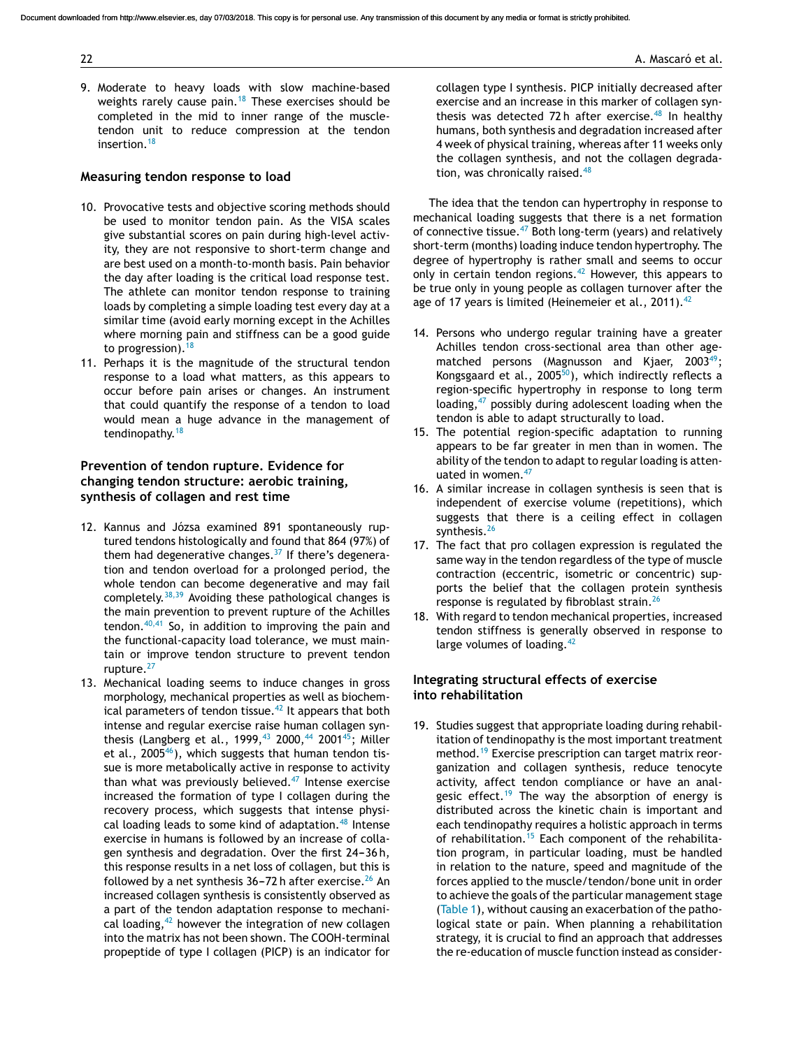9. Moderate to heavy loads with slow machine-based weights rarely cause pain.<sup>[18](#page-7-0)</sup> These exercises should be completed in the mid to inner range of the muscletendon unit to reduce compression at the tendon insertion.<sup>[18](#page-7-0)</sup>

#### **Measuring tendon response to load**

- 10. Provocative tests and objective scoring methods should be used to monitor tendon pain. As the VISA scales give substantial scores on pain during high-level activity, they are not responsive to short-term change and are best used on a month-to-month basis. Pain behavior the day after loading is the critical load response test. The athlete can monitor tendon response to training loads by completing a simple loading test every day at a similar time (avoid early morning except in the Achilles where morning pain and stiffness can be a good guide to progression).  $18$
- 11. Perhaps it is the magnitude of the structural tendon response to a load what matters, as this appears to occur before pain arises or changes. An instrument that could quantify the response of a tendon to load would mean a huge advance in the management of tendinopathy.<sup>[18](#page-7-0)</sup>

# **Prevention of tendon rupture. Evidence for changing tendon structure: aerobic training, synthesis of collagen and rest time**

- 12. Kannus and Józsa examined 891 spontaneously ruptured tendons histologically and found that 864 (97%) of them had degenerative changes. $37$  If there's degeneration and tendon overload for a prolonged period, the whole tendon can become degenerative and may fail completely. $38,39$  Avoiding these pathological changes is the main prevention to prevent rupture of the Achilles tendon. $40,41$  So, in addition to improving the pain and the functional-capacity load tolerance, we must maintain or improve tendon structure to prevent tendon rupture.<sup>[27](#page-7-0)</sup>
- 13. Mechanical loading seems to induce changes in gross morphology, mechanical properties as well as biochemical parameters of tendon tissue. $42$  It appears that both intense and regular exercise raise human collagen syn-thesis (Langberg et al., 1999, <sup>[43](#page-8-0)</sup> 2000, <sup>[44](#page-8-0)</sup> 2001<sup>[45](#page-8-0)</sup>; Miller et al., 2005 $46$ ), which suggests that human tendon tissue is more metabolically active in response to activity than what was previously believed.[47](#page-8-0) Intense exercise increased the formation of type I collagen during the recovery process, which suggests that intense physi-cal loading leads to some kind of adaptation.<sup>[48](#page-8-0)</sup> Intense exercise in humans is followed by an increase of collagen synthesis and degradation. Over the first 24-36 h, this response results in a net loss of collagen, but this is followed by a net synthesis  $36-72$  h after exercise.<sup>[26](#page-7-0)</sup> An increased collagen synthesis is consistently observed as a part of the tendon adaptation response to mechanical loading,  $42$  however the integration of new collagen into the matrix has not been shown. The COOH-terminal propeptide of type I collagen (PICP) is an indicator for

collagen type I synthesis. PICP initially decreased after exercise and an increase in this marker of collagen syn-thesis was detected 72h after exercise.<sup>[48](#page-8-0)</sup> In healthy humans, both synthesis and degradation increased after 4 week of physical training, whereas after 11 weeks only the collagen synthesis, and not the collagen degrada-tion, was chronically raised.<sup>[48](#page-8-0)</sup>

The idea that the tendon can hypertrophy in response to mechanical loading suggests that there is a net formation of connective tissue.<sup>[47](#page-8-0)</sup> Both long-term (years) and relatively short-term (months) loading induce tendon hypertrophy. The degree of hypertrophy is rather small and seems to occur only in certain tendon regions.<sup>[42](#page-8-0)</sup> However, this appears to be true only in young people as collagen turnover after the age of 17 years is limited (Heinemeier et al., 2011). $42$ 

- 14. Persons who undergo regular training have a greater Achilles tendon cross-sectional area than other agematched persons (Magnusson and Kjaer,  $2003^{49}$  $2003^{49}$  $2003^{49}$ ; Kongsgaard et al., 2005 $^{50}$ [\),](#page-8-0) which indirectly reflects a region-specific hypertrophy in response to long term loading, $47$  possibly during adolescent loading when the tendon is able to adapt structurally to load.
- 15. The potential region-specific adaptation to running appears to be far greater in men than in women. The ability of the tendon to adapt to regular loading is atten-uated in women.<sup>[47](#page-8-0)</sup>
- 16. A similar increase in collagen synthesis is seen that is independent of exercise volume (repetitions), which suggests that there is a ceiling effect in collagen synthesis.<sup>[26](#page-7-0)</sup>
- 17. The fact that pro collagen expression is regulated the same way in the tendon regardless of the type of muscle contraction (eccentric, isometric or concentric) supports the belief that the collagen protein synthesis response is regulated by fibroblast strain.<sup>[26](#page-7-0)</sup>
- 18. With regard to tendon mechanical properties, increased tendon stiffness is generally observed in response to large volumes of loading. $42$

#### **Integrating structural effects of exercise into rehabilitation**

19. Studies suggest that appropriate loading during rehabilitation of tendinopathy is the most important treatment method.<sup>[19](#page-7-0)</sup> Exercise prescription can target matrix reorganization and collagen synthesis, reduce tenocyte activity, affect tendon compliance or have an anal-gesic effect.<sup>[19](#page-7-0)</sup> The way the absorption of energy is distributed across the kinetic chain is important and each tendinopathy requires a holistic approach in terms of rehabilitation.<sup>[15](#page-7-0)</sup> Each component of the rehabilitation program, in particular loading, must be handled in relation to the nature, speed and magnitude of the forces applied to the muscle/tendon/bone unit in order to achieve the goals of the particular management stage [\(Table](#page-4-0) 1), without causing an exacerbation of the pathological state or pain. When planning a rehabilitation strategy, it is crucial to find an approach that addresses the re-education of muscle function instead as consider-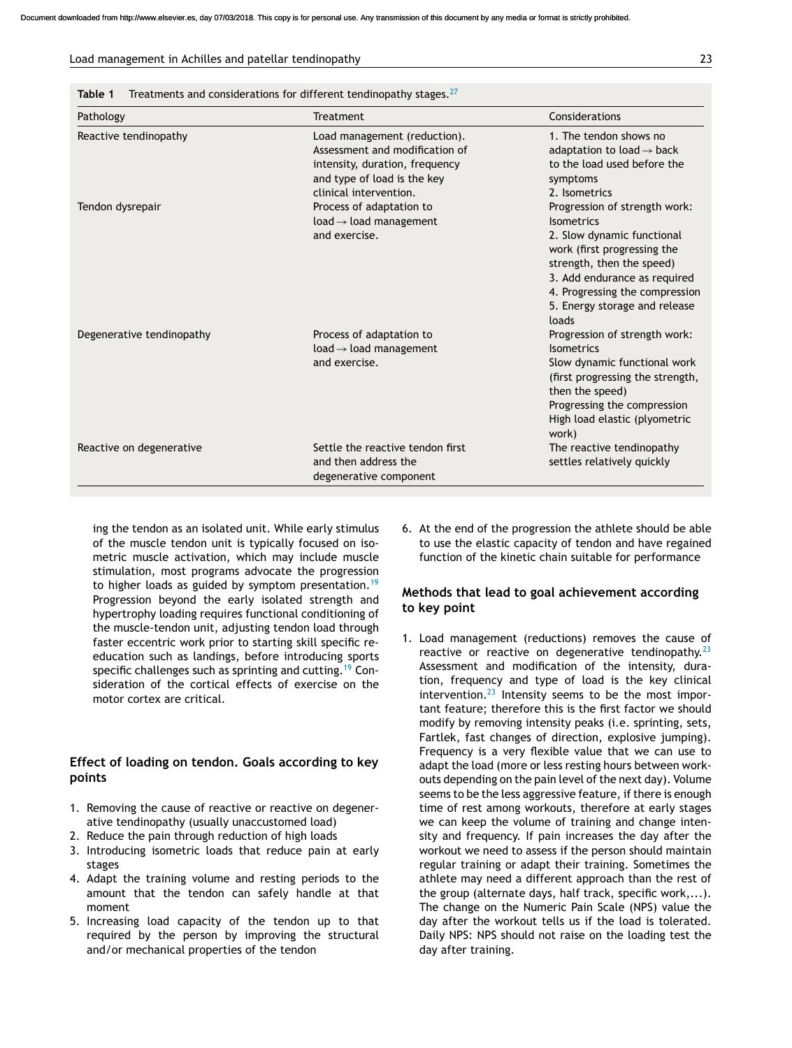#### <span id="page-4-0"></span>Load management in Achilles and patellar tendinopathy 23

| Table 1 |  |  |  | Treatments and considerations for different tendinopathy stages. $27$ |  |
|---------|--|--|--|-----------------------------------------------------------------------|--|
|---------|--|--|--|-----------------------------------------------------------------------|--|

| Pathology                 | Treatment                                                                                                                                                 | Considerations                                                                                                                                                                                                                                    |  |
|---------------------------|-----------------------------------------------------------------------------------------------------------------------------------------------------------|---------------------------------------------------------------------------------------------------------------------------------------------------------------------------------------------------------------------------------------------------|--|
| Reactive tendinopathy     | Load management (reduction).<br>Assessment and modification of<br>intensity, duration, frequency<br>and type of load is the key<br>clinical intervention. | 1. The tendon shows no<br>adaptation to load $\rightarrow$ back<br>to the load used before the<br>symptoms<br>2. Isometrics                                                                                                                       |  |
| Tendon dysrepair          | Process of adaptation to<br>$load \rightarrow load$ management<br>and exercise.                                                                           | Progression of strength work:<br>Isometrics<br>2. Slow dynamic functional<br>work (first progressing the<br>strength, then the speed)<br>3. Add endurance as required<br>4. Progressing the compression<br>5. Energy storage and release<br>loads |  |
| Degenerative tendinopathy | Process of adaptation to<br>$load \rightarrow load$ management<br>and exercise.                                                                           | Progression of strength work:<br>Isometrics<br>Slow dynamic functional work<br>(first progressing the strength,<br>then the speed)<br>Progressing the compression<br>High load elastic (plyometric<br>work)                                       |  |
| Reactive on degenerative  | Settle the reactive tendon first<br>and then address the<br>degenerative component                                                                        | The reactive tendinopathy<br>settles relatively quickly                                                                                                                                                                                           |  |

ing the tendon as an isolated unit. While early stimulus of the muscle tendon unit is typically focused on isometric muscle activation, which may include muscle stimulation, most programs advocate the progression to higher loads as guided by symptom presentation.<sup>[19](#page-7-0)</sup> Progression beyond the early isolated strength and hypertrophy loading requires functional conditioning of the muscle-tendon unit, adjusting tendon load through faster eccentric work prior to starting skill specific reeducation such as landings, before introducing sports specific challenges such as sprinting and cutting.<sup>[19](#page-7-0)</sup> Consideration of the cortical effects of exercise on the motor cortex are critical.

#### **Effect of loading on tendon. Goals according to key points**

- 1. Removing the cause of reactive or reactive on degenerative tendinopathy (usually unaccustomed load)
- 2. Reduce the pain through reduction of high loads
- 3. Introducing isometric loads that reduce pain at early stages
- 4. Adapt the training volume and resting periods to the amount that the tendon can safely handle at that moment
- 5. Increasing load capacity of the tendon up to that required by the person by improving the structural and/or mechanical properties of the tendon

6. At the end of the progression the athlete should be able to use the elastic capacity of tendon and have regained function of the kinetic chain suitable for performance

#### **Methods that lead to goal achievement according to key point**

1. Load management (reductions) removes the cause of reactive or reactive on degenerative tendinopathy. $^{23}$  $^{23}$  $^{23}$ Assessment and modification of the intensity, duration, frequency and type of load is the key clinical intervention. $^{23}$  $^{23}$  $^{23}$  Intensity seems to be the most important feature; therefore this is the first factor we should modify by removing intensity peaks (i.e. sprinting, sets, Fartlek, fast changes of direction, explosive jumping). Frequency is a very flexible value that we can use to adapt the load (more or less resting hours between workouts depending on the pain level of the next day). Volume seems to be the less aggressive feature, if there is enough time of rest among workouts, therefore at early stages we can keep the volume of training and change intensity and frequency. If pain increases the day after the workout we need to assess if the person should maintain regular training or adapt their training. Sometimes the athlete may need a different approach than the rest of the group (alternate days, half track, specific work,...). The change on the Numeric Pain Scale (NPS) value the day after the workout tells us if the load is tolerated. Daily NPS: NPS should not raise on the loading test the day after training.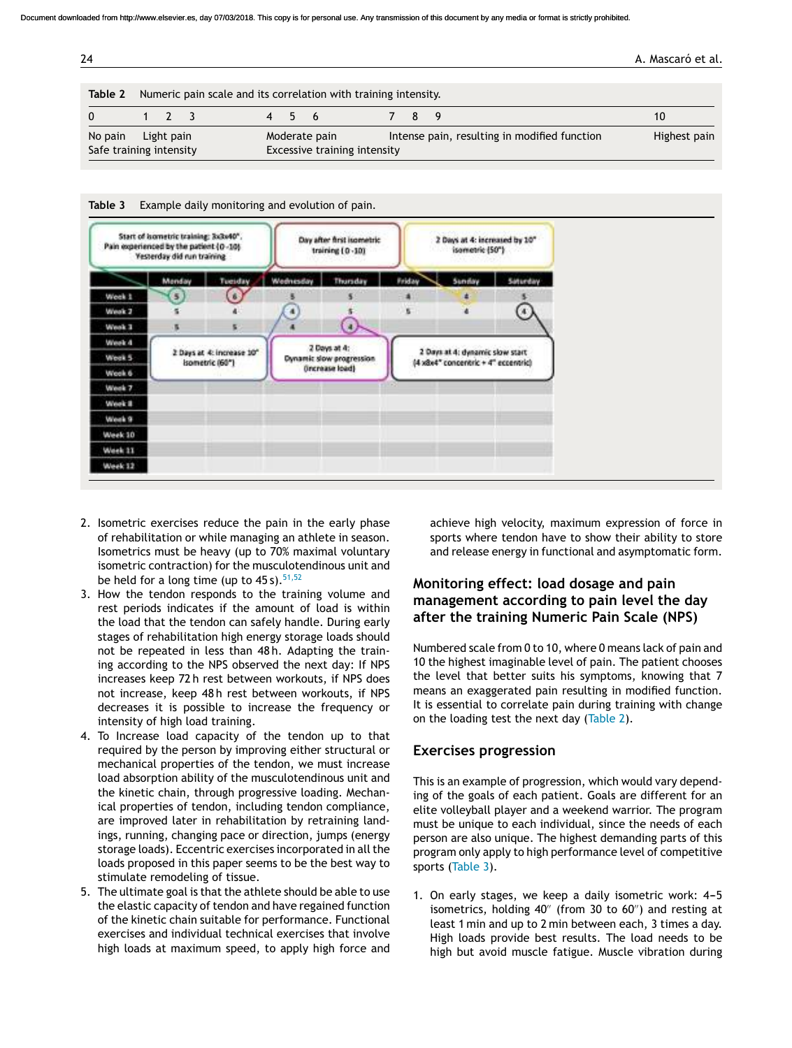| 24 |  | . Mascaró et al. |
|----|--|------------------|
|    |  |                  |
|    |  |                  |

| Table 2                 | Numeric pain scale and its correlation with training intensity. |                              |  |  |  |       |               |  |     |                                              |              |
|-------------------------|-----------------------------------------------------------------|------------------------------|--|--|--|-------|---------------|--|-----|----------------------------------------------|--------------|
| $\Omega$                |                                                                 | $1 \t 7 \t 3$                |  |  |  | 4 5 6 |               |  | 789 |                                              | 1Ο           |
| No pain                 |                                                                 | Light pain                   |  |  |  |       | Moderate pain |  |     | Intense pain, resulting in modified function | Highest pain |
| Safe training intensity |                                                                 | Excessive training intensity |  |  |  |       |               |  |     |                                              |              |



- 2. Isometric exercises reduce the pain in the early phase of rehabilitation or while managing an athlete in season. Isometrics must be heavy (up to 70% maximal voluntary isometric contraction) for the musculotendinous unit and be held for a long time (up to  $45 s$ ).  $51,52$
- 3. How the tendon responds to the training volume and rest periods indicates if the amount of load is within the load that the tendon can safely handle. During early stages of rehabilitation high energy storage loads should not be repeated in less than 48 h. Adapting the training according to the NPS observed the next day: If NPS increases keep 72 h rest between workouts, if NPS does not increase, keep 48 h rest between workouts, if NPS decreases it is possible to increase the frequency or intensity of high load training.
- 4. To Increase load capacity of the tendon up to that required by the person by improving either structural or mechanical properties of the tendon, we must increase load absorption ability of the musculotendinous unit and the kinetic chain, through progressive loading. Mechanical properties of tendon, including tendon compliance, are improved later in rehabilitation by retraining landings, running, changing pace or direction, jumps (energy storage loads). Eccentric exercises incorporated in all the loads proposed in this paper seems to be the best way to stimulate remodeling of tissue.
- 5. The ultimate goal is that the athlete should be able to use the elastic capacity of tendon and have regained function of the kinetic chain suitable for performance. Functional exercises and individual technical exercises that involve high loads at maximum speed, to apply high force and

achieve high velocity, maximum expression of force in sports where tendon have to show their ability to store and release energy in functional and asymptomatic form.

# **Monitoring effect: load dosage and pain management according to pain level the day after the training Numeric Pain Scale (NPS)**

Numbered scale from 0 to 10, where 0 means lack of pain and 10 the highest imaginable level of pain. The patient chooses the level that better suits his symptoms, knowing that 7 means an exaggerated pain resulting in modified function. It is essential to correlate pain during training with change on the loading test the next day (Table 2).

# **Exercises progression**

This is an example of progression, which would vary depending of the goals of each patient. Goals are different for an elite volleyball player and a weekend warrior. The program must be unique to each individual, since the needs of each person are also unique. The highest demanding parts of this program only apply to high performance level of competitive sports (Table 3).

1. On early stages, we keep a daily isometric work: 4-5 isometrics, holding 40′′ (from 30 to 60′′) and resting at least 1 min and up to 2 min between each, 3 times a day. High loads provide best results. The load needs to be high but avoid muscle fatigue. Muscle vibration during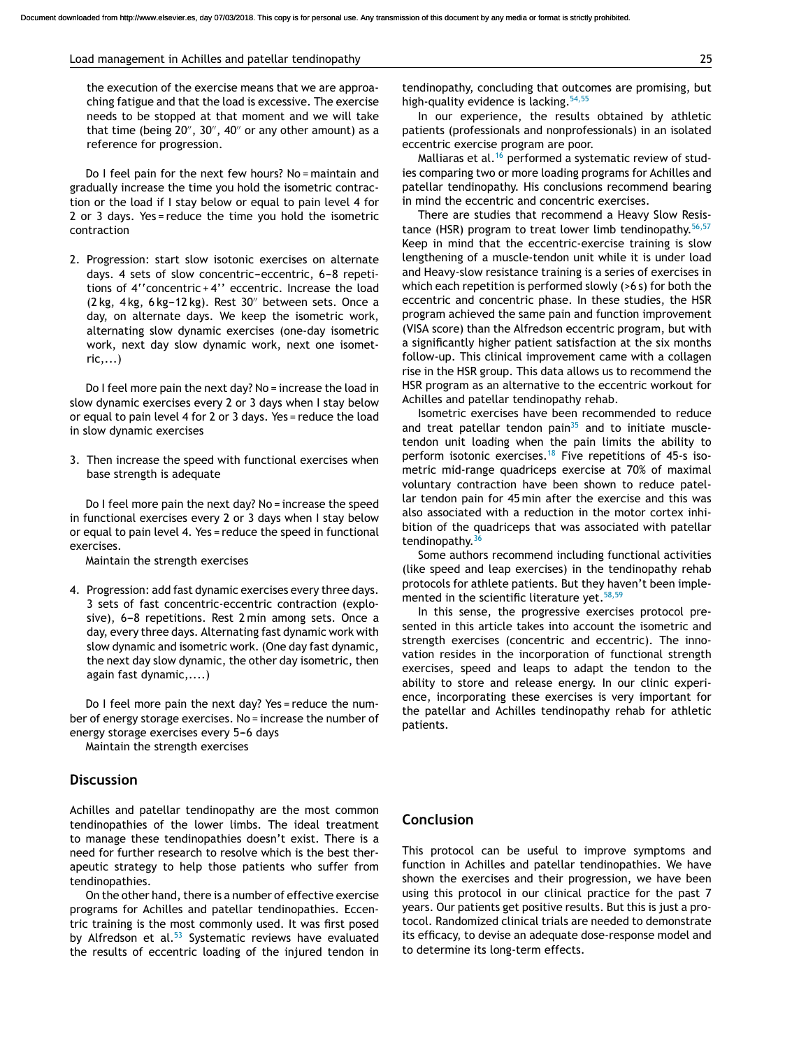#### Load management in Achilles and patellar tendinopathy 25

the execution of the exercise means that we are approaching fatigue and that the load is excessive. The exercise needs to be stopped at that moment and we will take that time (being 20′′ , 30′′ , 40′′ or any other amount) as a reference for progression.

Do I feel pain for the next few hours? No = maintain and gradually increase the time you hold the isometric contraction or the load if I stay below or equal to pain level 4 for 2 or 3 days. Yes = reduce the time you hold the isometric contraction

2. Progression: start slow isotonic exercises on alternate days. 4 sets of slow concentric-eccentric, 6-8 repetitions of 4''concentric + 4'' eccentric. Increase the load (2 kg, 4 kg, 6 kg-12 kg). Rest 30" between sets. Once a day, on alternate days. We keep the isometric work, alternating slow dynamic exercises (one-day isometric work, next day slow dynamic work, next one isomet $ric...$ )

Do I feel more pain the next day? No = increase the load in slow dynamic exercises every 2 or 3 days when I stay below or equal to pain level 4 for 2 or 3 days. Yes = reduce the load in slow dynamic exercises

3. Then increase the speed with functional exercises when base strength is adequate

Do I feel more pain the next day? No = increase the speed in functional exercises every 2 or 3 days when I stay below or equal to pain level 4. Yes = reduce the speed in functional exercises.

Maintain the strength exercises

4. Progression: add fast dynamic exercises every three days. 3 sets of fast concentric-eccentric contraction (explosive), 6-8 repetitions. Rest 2 min among sets. Once a day, every three days. Alternating fast dynamic work with slow dynamic and isometric work. (One day fast dynamic, the next day slow dynamic, the other day isometric, then again fast dynamic,....)

Do I feel more pain the next day? Yes = reduce the number of energy storage exercises. No = increase the number of energy storage exercises every 5-6 days

Maintain the strength exercises

### **Discussion**

Achilles and patellar tendinopathy are the most common tendinopathies of the lower limbs. The ideal treatment to manage these tendinopathies doesn't exist. There is a need for further research to resolve which is the best therapeutic strategy to help those patients who suffer from tendinopathies.

On the other hand, there is a number of effective exercise programs for Achilles and patellar tendinopathies. Eccentric training is the most commonly used. It was first posed by Alfredson et al. $53$  Systematic reviews have evaluated the results of eccentric loading of the injured tendon in

tendinopathy, concluding that outcomes are promising, but high-quality evidence is lacking.<sup>[54,55](#page-8-0)</sup>

In our experience, the results obtained by athletic patients (professionals and nonprofessionals) in an isolated eccentric exercise program are poor.

Malliaras et al.<sup>[16](#page-7-0)</sup> performed a systematic review of studies comparing two or more loading programs for Achilles and patellar tendinopathy. His conclusions recommend bearing in mind the eccentric and concentric exercises.

There are studies that recommend a Heavy Slow Resis-tance (HSR) program to treat lower limb tendinopathy.<sup>[56,57](#page-8-0)</sup> Keep in mind that the eccentric-exercise training is slow lengthening of a muscle-tendon unit while it is under load and Heavy-slow resistance training is a series of exercises in which each repetition is performed slowly (>6 s) for both the eccentric and concentric phase. In these studies, the HSR program achieved the same pain and function improvement (VISA score) than the Alfredson eccentric program, but with a significantly higher patient satisfaction at the six months follow-up. This clinical improvement came with a collagen rise in the HSR group. This data allows us to recommend the HSR program as an alternative to the eccentric workout for Achilles and patellar tendinopathy rehab.

Isometric exercises have been recommended to reduce and treat patellar tendon pain $35$  and to initiate muscletendon unit loading when the pain limits the ability to perform isotonic exercises.<sup>[18](#page-7-0)</sup> Five repetitions of 45-s isometric mid-range quadriceps exercise at 70% of maximal voluntary contraction have been shown to reduce patellar tendon pain for 45 min after the exercise and this was also associated with a reduction in the motor cortex inhibition of the quadriceps that was associated with patellar tendinopathy.<sup>[36](#page-8-0)</sup>

Some authors recommend including functional activities (like speed and leap exercises) in the tendinopathy rehab protocols for athlete patients. But they haven't been imple-mented in the scientific literature yet.<sup>[58,59](#page-8-0)</sup>

In this sense, the progressive exercises protocol presented in this article takes into account the isometric and strength exercises (concentric and eccentric). The innovation resides in the incorporation of functional strength exercises, speed and leaps to adapt the tendon to the ability to store and release energy. In our clinic experience, incorporating these exercises is very important for the patellar and Achilles tendinopathy rehab for athletic patients.

#### **Conclusion**

This protocol can be useful to improve symptoms and function in Achilles and patellar tendinopathies. We have shown the exercises and their progression, we have been using this protocol in our clinical practice for the past 7 years. Our patients get positive results. But this is just a protocol. Randomized clinical trials are needed to demonstrate its efficacy, to devise an adequate dose-response model and to determine its long-term effects.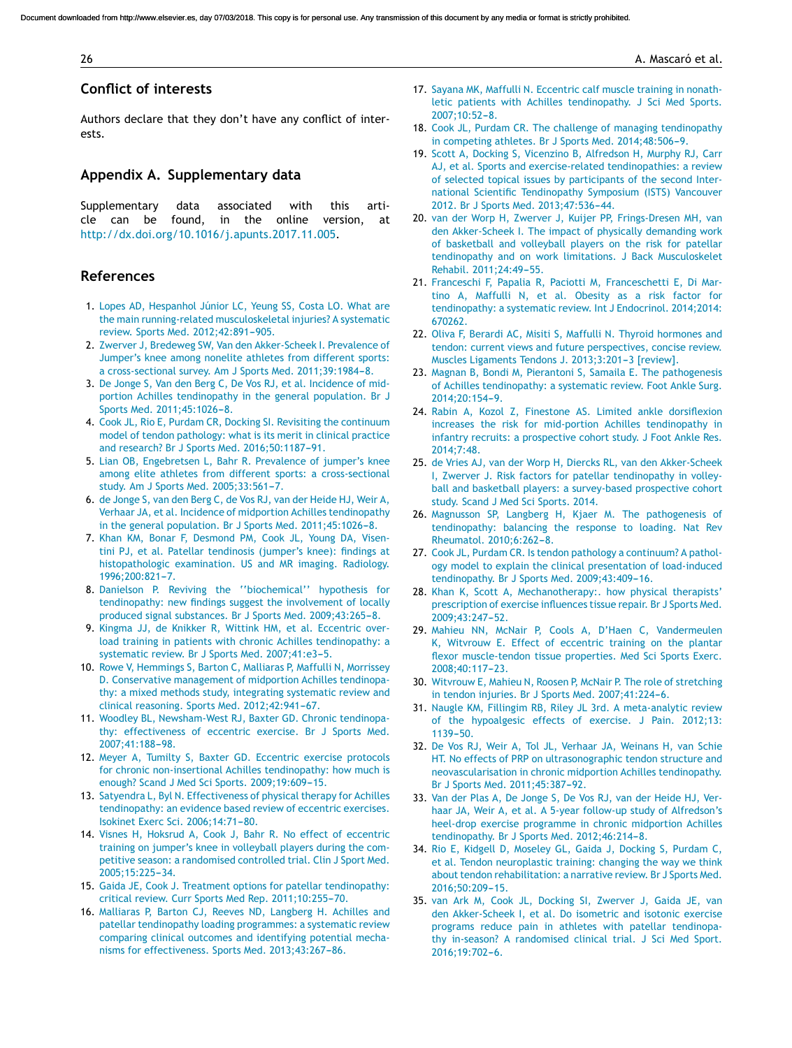#### <span id="page-7-0"></span>**Conflict of interests**

Authors declare that they don't have any conflict of interests.

### **Appendix A. Supplementary data**

Supplementary data associated with this article can be found, in the online version, at <http://dx.doi.org/10.1016/j.apunts.2017.11.005>.

# **References**

- 1. [Lopes](http://refhub.elsevier.com/S1886-6581(17)30058-0/sbref0300) [AD,](http://refhub.elsevier.com/S1886-6581(17)30058-0/sbref0300) [Hespanhol](http://refhub.elsevier.com/S1886-6581(17)30058-0/sbref0300) [Júnior](http://refhub.elsevier.com/S1886-6581(17)30058-0/sbref0300) [LC,](http://refhub.elsevier.com/S1886-6581(17)30058-0/sbref0300) [Yeung](http://refhub.elsevier.com/S1886-6581(17)30058-0/sbref0300) [SS,](http://refhub.elsevier.com/S1886-6581(17)30058-0/sbref0300) [Costa](http://refhub.elsevier.com/S1886-6581(17)30058-0/sbref0300) [LO.](http://refhub.elsevier.com/S1886-6581(17)30058-0/sbref0300) [What](http://refhub.elsevier.com/S1886-6581(17)30058-0/sbref0300) [are](http://refhub.elsevier.com/S1886-6581(17)30058-0/sbref0300) [the](http://refhub.elsevier.com/S1886-6581(17)30058-0/sbref0300) [main](http://refhub.elsevier.com/S1886-6581(17)30058-0/sbref0300) [running-related](http://refhub.elsevier.com/S1886-6581(17)30058-0/sbref0300) [musculoskeletal](http://refhub.elsevier.com/S1886-6581(17)30058-0/sbref0300) [injuries?](http://refhub.elsevier.com/S1886-6581(17)30058-0/sbref0300) [A](http://refhub.elsevier.com/S1886-6581(17)30058-0/sbref0300) [systematic](http://refhub.elsevier.com/S1886-6581(17)30058-0/sbref0300) [review.](http://refhub.elsevier.com/S1886-6581(17)30058-0/sbref0300) [Sports](http://refhub.elsevier.com/S1886-6581(17)30058-0/sbref0300) [Med.](http://refhub.elsevier.com/S1886-6581(17)30058-0/sbref0300) 2012;42:891-905.
- 2. [Zwerver](http://refhub.elsevier.com/S1886-6581(17)30058-0/sbref0305) [J,](http://refhub.elsevier.com/S1886-6581(17)30058-0/sbref0305) [Bredeweg](http://refhub.elsevier.com/S1886-6581(17)30058-0/sbref0305) [SW,](http://refhub.elsevier.com/S1886-6581(17)30058-0/sbref0305) [Van](http://refhub.elsevier.com/S1886-6581(17)30058-0/sbref0305) [den](http://refhub.elsevier.com/S1886-6581(17)30058-0/sbref0305) [Akker-Scheek](http://refhub.elsevier.com/S1886-6581(17)30058-0/sbref0305) [I.](http://refhub.elsevier.com/S1886-6581(17)30058-0/sbref0305) [Prevalence](http://refhub.elsevier.com/S1886-6581(17)30058-0/sbref0305) [of](http://refhub.elsevier.com/S1886-6581(17)30058-0/sbref0305) [Jumper's](http://refhub.elsevier.com/S1886-6581(17)30058-0/sbref0305) [knee](http://refhub.elsevier.com/S1886-6581(17)30058-0/sbref0305) [among](http://refhub.elsevier.com/S1886-6581(17)30058-0/sbref0305) [nonelite](http://refhub.elsevier.com/S1886-6581(17)30058-0/sbref0305) [athletes](http://refhub.elsevier.com/S1886-6581(17)30058-0/sbref0305) [from](http://refhub.elsevier.com/S1886-6581(17)30058-0/sbref0305) [different](http://refhub.elsevier.com/S1886-6581(17)30058-0/sbref0305) [sports:](http://refhub.elsevier.com/S1886-6581(17)30058-0/sbref0305) [a](http://refhub.elsevier.com/S1886-6581(17)30058-0/sbref0305) [cross-sectional](http://refhub.elsevier.com/S1886-6581(17)30058-0/sbref0305) [survey.](http://refhub.elsevier.com/S1886-6581(17)30058-0/sbref0305) [Am](http://refhub.elsevier.com/S1886-6581(17)30058-0/sbref0305) [J](http://refhub.elsevier.com/S1886-6581(17)30058-0/sbref0305) [Sports](http://refhub.elsevier.com/S1886-6581(17)30058-0/sbref0305) [Med.](http://refhub.elsevier.com/S1886-6581(17)30058-0/sbref0305) 2011;39:1984-8.
- 3. [De](http://refhub.elsevier.com/S1886-6581(17)30058-0/sbref0310) [Jonge](http://refhub.elsevier.com/S1886-6581(17)30058-0/sbref0310) [S,](http://refhub.elsevier.com/S1886-6581(17)30058-0/sbref0310) [Van](http://refhub.elsevier.com/S1886-6581(17)30058-0/sbref0310) [den](http://refhub.elsevier.com/S1886-6581(17)30058-0/sbref0310) [Berg](http://refhub.elsevier.com/S1886-6581(17)30058-0/sbref0310) [C,](http://refhub.elsevier.com/S1886-6581(17)30058-0/sbref0310) [De](http://refhub.elsevier.com/S1886-6581(17)30058-0/sbref0310) [Vos](http://refhub.elsevier.com/S1886-6581(17)30058-0/sbref0310) [RJ,](http://refhub.elsevier.com/S1886-6581(17)30058-0/sbref0310) [et](http://refhub.elsevier.com/S1886-6581(17)30058-0/sbref0310) [al.](http://refhub.elsevier.com/S1886-6581(17)30058-0/sbref0310) [Incidence](http://refhub.elsevier.com/S1886-6581(17)30058-0/sbref0310) [of](http://refhub.elsevier.com/S1886-6581(17)30058-0/sbref0310) [mid](http://refhub.elsevier.com/S1886-6581(17)30058-0/sbref0310)[portion](http://refhub.elsevier.com/S1886-6581(17)30058-0/sbref0310) [Achilles](http://refhub.elsevier.com/S1886-6581(17)30058-0/sbref0310) [tendinopathy](http://refhub.elsevier.com/S1886-6581(17)30058-0/sbref0310) [in](http://refhub.elsevier.com/S1886-6581(17)30058-0/sbref0310) [the](http://refhub.elsevier.com/S1886-6581(17)30058-0/sbref0310) [general](http://refhub.elsevier.com/S1886-6581(17)30058-0/sbref0310) [population.](http://refhub.elsevier.com/S1886-6581(17)30058-0/sbref0310) [Br](http://refhub.elsevier.com/S1886-6581(17)30058-0/sbref0310) [J](http://refhub.elsevier.com/S1886-6581(17)30058-0/sbref0310) [Sports](http://refhub.elsevier.com/S1886-6581(17)30058-0/sbref0310) [Med.](http://refhub.elsevier.com/S1886-6581(17)30058-0/sbref0310) [2011;45:1026](http://refhub.elsevier.com/S1886-6581(17)30058-0/sbref0310)-[8.](http://refhub.elsevier.com/S1886-6581(17)30058-0/sbref0310)
- 4. [Cook](http://refhub.elsevier.com/S1886-6581(17)30058-0/sbref0315) [JL,](http://refhub.elsevier.com/S1886-6581(17)30058-0/sbref0315) [Rio](http://refhub.elsevier.com/S1886-6581(17)30058-0/sbref0315) [E,](http://refhub.elsevier.com/S1886-6581(17)30058-0/sbref0315) [Purdam](http://refhub.elsevier.com/S1886-6581(17)30058-0/sbref0315) [CR,](http://refhub.elsevier.com/S1886-6581(17)30058-0/sbref0315) [Docking](http://refhub.elsevier.com/S1886-6581(17)30058-0/sbref0315) [SI.](http://refhub.elsevier.com/S1886-6581(17)30058-0/sbref0315) [Revisiting](http://refhub.elsevier.com/S1886-6581(17)30058-0/sbref0315) [the](http://refhub.elsevier.com/S1886-6581(17)30058-0/sbref0315) [continuum](http://refhub.elsevier.com/S1886-6581(17)30058-0/sbref0315) [model](http://refhub.elsevier.com/S1886-6581(17)30058-0/sbref0315) [of](http://refhub.elsevier.com/S1886-6581(17)30058-0/sbref0315) [tendon](http://refhub.elsevier.com/S1886-6581(17)30058-0/sbref0315) [pathology:](http://refhub.elsevier.com/S1886-6581(17)30058-0/sbref0315) [what](http://refhub.elsevier.com/S1886-6581(17)30058-0/sbref0315) [is](http://refhub.elsevier.com/S1886-6581(17)30058-0/sbref0315) [its](http://refhub.elsevier.com/S1886-6581(17)30058-0/sbref0315) [merit](http://refhub.elsevier.com/S1886-6581(17)30058-0/sbref0315) [in](http://refhub.elsevier.com/S1886-6581(17)30058-0/sbref0315) [clinical](http://refhub.elsevier.com/S1886-6581(17)30058-0/sbref0315) [practice](http://refhub.elsevier.com/S1886-6581(17)30058-0/sbref0315) [and](http://refhub.elsevier.com/S1886-6581(17)30058-0/sbref0315) [research?](http://refhub.elsevier.com/S1886-6581(17)30058-0/sbref0315) [Br](http://refhub.elsevier.com/S1886-6581(17)30058-0/sbref0315) [J](http://refhub.elsevier.com/S1886-6581(17)30058-0/sbref0315) [Sports](http://refhub.elsevier.com/S1886-6581(17)30058-0/sbref0315) [Med.](http://refhub.elsevier.com/S1886-6581(17)30058-0/sbref0315) [2016;50:1187](http://refhub.elsevier.com/S1886-6581(17)30058-0/sbref0315)-[91.](http://refhub.elsevier.com/S1886-6581(17)30058-0/sbref0315)
- 5. [Lian](http://refhub.elsevier.com/S1886-6581(17)30058-0/sbref0320) [OB,](http://refhub.elsevier.com/S1886-6581(17)30058-0/sbref0320) [Engebretsen](http://refhub.elsevier.com/S1886-6581(17)30058-0/sbref0320) [L,](http://refhub.elsevier.com/S1886-6581(17)30058-0/sbref0320) [Bahr](http://refhub.elsevier.com/S1886-6581(17)30058-0/sbref0320) [R.](http://refhub.elsevier.com/S1886-6581(17)30058-0/sbref0320) [Prevalence](http://refhub.elsevier.com/S1886-6581(17)30058-0/sbref0320) [of](http://refhub.elsevier.com/S1886-6581(17)30058-0/sbref0320) [jumper's](http://refhub.elsevier.com/S1886-6581(17)30058-0/sbref0320) [knee](http://refhub.elsevier.com/S1886-6581(17)30058-0/sbref0320) [among](http://refhub.elsevier.com/S1886-6581(17)30058-0/sbref0320) [elite](http://refhub.elsevier.com/S1886-6581(17)30058-0/sbref0320) [athletes](http://refhub.elsevier.com/S1886-6581(17)30058-0/sbref0320) [from](http://refhub.elsevier.com/S1886-6581(17)30058-0/sbref0320) [different](http://refhub.elsevier.com/S1886-6581(17)30058-0/sbref0320) [sports:](http://refhub.elsevier.com/S1886-6581(17)30058-0/sbref0320) [a](http://refhub.elsevier.com/S1886-6581(17)30058-0/sbref0320) [cross-sectional](http://refhub.elsevier.com/S1886-6581(17)30058-0/sbref0320) [study.](http://refhub.elsevier.com/S1886-6581(17)30058-0/sbref0320) [Am](http://refhub.elsevier.com/S1886-6581(17)30058-0/sbref0320) [J](http://refhub.elsevier.com/S1886-6581(17)30058-0/sbref0320) [Sports](http://refhub.elsevier.com/S1886-6581(17)30058-0/sbref0320) [Med.](http://refhub.elsevier.com/S1886-6581(17)30058-0/sbref0320) 2005:33:561[-7.](http://refhub.elsevier.com/S1886-6581(17)30058-0/sbref0320)
- 6. [de](http://refhub.elsevier.com/S1886-6581(17)30058-0/sbref0325) [Jonge](http://refhub.elsevier.com/S1886-6581(17)30058-0/sbref0325) [S,](http://refhub.elsevier.com/S1886-6581(17)30058-0/sbref0325) [van](http://refhub.elsevier.com/S1886-6581(17)30058-0/sbref0325) [den](http://refhub.elsevier.com/S1886-6581(17)30058-0/sbref0325) [Berg](http://refhub.elsevier.com/S1886-6581(17)30058-0/sbref0325) [C,](http://refhub.elsevier.com/S1886-6581(17)30058-0/sbref0325) [de](http://refhub.elsevier.com/S1886-6581(17)30058-0/sbref0325) [Vos](http://refhub.elsevier.com/S1886-6581(17)30058-0/sbref0325) [RJ,](http://refhub.elsevier.com/S1886-6581(17)30058-0/sbref0325) [van](http://refhub.elsevier.com/S1886-6581(17)30058-0/sbref0325) [der](http://refhub.elsevier.com/S1886-6581(17)30058-0/sbref0325) [Heide](http://refhub.elsevier.com/S1886-6581(17)30058-0/sbref0325) [HJ,](http://refhub.elsevier.com/S1886-6581(17)30058-0/sbref0325) [Weir](http://refhub.elsevier.com/S1886-6581(17)30058-0/sbref0325) [A,](http://refhub.elsevier.com/S1886-6581(17)30058-0/sbref0325) [Verhaar](http://refhub.elsevier.com/S1886-6581(17)30058-0/sbref0325) [JA,](http://refhub.elsevier.com/S1886-6581(17)30058-0/sbref0325) [et](http://refhub.elsevier.com/S1886-6581(17)30058-0/sbref0325) [al.](http://refhub.elsevier.com/S1886-6581(17)30058-0/sbref0325) [Incidence](http://refhub.elsevier.com/S1886-6581(17)30058-0/sbref0325) [of](http://refhub.elsevier.com/S1886-6581(17)30058-0/sbref0325) [midportion](http://refhub.elsevier.com/S1886-6581(17)30058-0/sbref0325) [Achilles](http://refhub.elsevier.com/S1886-6581(17)30058-0/sbref0325) [tendinopathy](http://refhub.elsevier.com/S1886-6581(17)30058-0/sbref0325) [in](http://refhub.elsevier.com/S1886-6581(17)30058-0/sbref0325) [the](http://refhub.elsevier.com/S1886-6581(17)30058-0/sbref0325) [general](http://refhub.elsevier.com/S1886-6581(17)30058-0/sbref0325) [population.](http://refhub.elsevier.com/S1886-6581(17)30058-0/sbref0325) [Br](http://refhub.elsevier.com/S1886-6581(17)30058-0/sbref0325) [J](http://refhub.elsevier.com/S1886-6581(17)30058-0/sbref0325) [Sports](http://refhub.elsevier.com/S1886-6581(17)30058-0/sbref0325) [Med.](http://refhub.elsevier.com/S1886-6581(17)30058-0/sbref0325) 2011;45:1026-8.
- 7. [Khan](http://refhub.elsevier.com/S1886-6581(17)30058-0/sbref0330) [KM,](http://refhub.elsevier.com/S1886-6581(17)30058-0/sbref0330) [Bonar](http://refhub.elsevier.com/S1886-6581(17)30058-0/sbref0330) [F,](http://refhub.elsevier.com/S1886-6581(17)30058-0/sbref0330) [Desmond](http://refhub.elsevier.com/S1886-6581(17)30058-0/sbref0330) [PM,](http://refhub.elsevier.com/S1886-6581(17)30058-0/sbref0330) [Cook](http://refhub.elsevier.com/S1886-6581(17)30058-0/sbref0330) [JL,](http://refhub.elsevier.com/S1886-6581(17)30058-0/sbref0330) [Young](http://refhub.elsevier.com/S1886-6581(17)30058-0/sbref0330) [DA,](http://refhub.elsevier.com/S1886-6581(17)30058-0/sbref0330) [Visen](http://refhub.elsevier.com/S1886-6581(17)30058-0/sbref0330)[tini](http://refhub.elsevier.com/S1886-6581(17)30058-0/sbref0330) [PJ,](http://refhub.elsevier.com/S1886-6581(17)30058-0/sbref0330) [et](http://refhub.elsevier.com/S1886-6581(17)30058-0/sbref0330) [al.](http://refhub.elsevier.com/S1886-6581(17)30058-0/sbref0330) [Patellar](http://refhub.elsevier.com/S1886-6581(17)30058-0/sbref0330) [tendinosis](http://refhub.elsevier.com/S1886-6581(17)30058-0/sbref0330) [\(jumper's](http://refhub.elsevier.com/S1886-6581(17)30058-0/sbref0330) [knee\):](http://refhub.elsevier.com/S1886-6581(17)30058-0/sbref0330) [findings](http://refhub.elsevier.com/S1886-6581(17)30058-0/sbref0330) [at](http://refhub.elsevier.com/S1886-6581(17)30058-0/sbref0330) [histopathologic](http://refhub.elsevier.com/S1886-6581(17)30058-0/sbref0330) [examination.](http://refhub.elsevier.com/S1886-6581(17)30058-0/sbref0330) [US](http://refhub.elsevier.com/S1886-6581(17)30058-0/sbref0330) [and](http://refhub.elsevier.com/S1886-6581(17)30058-0/sbref0330) [MR](http://refhub.elsevier.com/S1886-6581(17)30058-0/sbref0330) [imaging.](http://refhub.elsevier.com/S1886-6581(17)30058-0/sbref0330) [Radiology.](http://refhub.elsevier.com/S1886-6581(17)30058-0/sbref0330) 1996:200:821-7.
- 8. [Danielson](http://refhub.elsevier.com/S1886-6581(17)30058-0/sbref0335) [P.](http://refhub.elsevier.com/S1886-6581(17)30058-0/sbref0335) [Reviving](http://refhub.elsevier.com/S1886-6581(17)30058-0/sbref0335) [the](http://refhub.elsevier.com/S1886-6581(17)30058-0/sbref0335) [''biochemical''](http://refhub.elsevier.com/S1886-6581(17)30058-0/sbref0335) [hypothesis](http://refhub.elsevier.com/S1886-6581(17)30058-0/sbref0335) [for](http://refhub.elsevier.com/S1886-6581(17)30058-0/sbref0335) [tendinopathy:](http://refhub.elsevier.com/S1886-6581(17)30058-0/sbref0335) [new](http://refhub.elsevier.com/S1886-6581(17)30058-0/sbref0335) [findings](http://refhub.elsevier.com/S1886-6581(17)30058-0/sbref0335) [suggest](http://refhub.elsevier.com/S1886-6581(17)30058-0/sbref0335) [the](http://refhub.elsevier.com/S1886-6581(17)30058-0/sbref0335) [involvement](http://refhub.elsevier.com/S1886-6581(17)30058-0/sbref0335) [of](http://refhub.elsevier.com/S1886-6581(17)30058-0/sbref0335) [locally](http://refhub.elsevier.com/S1886-6581(17)30058-0/sbref0335) [produced](http://refhub.elsevier.com/S1886-6581(17)30058-0/sbref0335) [signal](http://refhub.elsevier.com/S1886-6581(17)30058-0/sbref0335) [substances.](http://refhub.elsevier.com/S1886-6581(17)30058-0/sbref0335) [Br](http://refhub.elsevier.com/S1886-6581(17)30058-0/sbref0335) [J](http://refhub.elsevier.com/S1886-6581(17)30058-0/sbref0335) [Sports](http://refhub.elsevier.com/S1886-6581(17)30058-0/sbref0335) [Med.](http://refhub.elsevier.com/S1886-6581(17)30058-0/sbref0335) 2009;43:265-8.
- 9. [Kingma](http://refhub.elsevier.com/S1886-6581(17)30058-0/sbref0340) [JJ,](http://refhub.elsevier.com/S1886-6581(17)30058-0/sbref0340) [de](http://refhub.elsevier.com/S1886-6581(17)30058-0/sbref0340) [Knikker](http://refhub.elsevier.com/S1886-6581(17)30058-0/sbref0340) [R,](http://refhub.elsevier.com/S1886-6581(17)30058-0/sbref0340) [Wittink](http://refhub.elsevier.com/S1886-6581(17)30058-0/sbref0340) [HM,](http://refhub.elsevier.com/S1886-6581(17)30058-0/sbref0340) [et](http://refhub.elsevier.com/S1886-6581(17)30058-0/sbref0340) [al.](http://refhub.elsevier.com/S1886-6581(17)30058-0/sbref0340) [Eccentric](http://refhub.elsevier.com/S1886-6581(17)30058-0/sbref0340) [over](http://refhub.elsevier.com/S1886-6581(17)30058-0/sbref0340)[load](http://refhub.elsevier.com/S1886-6581(17)30058-0/sbref0340) [training](http://refhub.elsevier.com/S1886-6581(17)30058-0/sbref0340) [in](http://refhub.elsevier.com/S1886-6581(17)30058-0/sbref0340) [patients](http://refhub.elsevier.com/S1886-6581(17)30058-0/sbref0340) [with](http://refhub.elsevier.com/S1886-6581(17)30058-0/sbref0340) [chronic](http://refhub.elsevier.com/S1886-6581(17)30058-0/sbref0340) [Achilles](http://refhub.elsevier.com/S1886-6581(17)30058-0/sbref0340) [tendinopathy:](http://refhub.elsevier.com/S1886-6581(17)30058-0/sbref0340) [a](http://refhub.elsevier.com/S1886-6581(17)30058-0/sbref0340) [systematic](http://refhub.elsevier.com/S1886-6581(17)30058-0/sbref0340) [review.](http://refhub.elsevier.com/S1886-6581(17)30058-0/sbref0340) [Br](http://refhub.elsevier.com/S1886-6581(17)30058-0/sbref0340) [J](http://refhub.elsevier.com/S1886-6581(17)30058-0/sbref0340) [Sports](http://refhub.elsevier.com/S1886-6581(17)30058-0/sbref0340) [Med.](http://refhub.elsevier.com/S1886-6581(17)30058-0/sbref0340) 2007:41:e3-5.
- 10. [Rowe](http://refhub.elsevier.com/S1886-6581(17)30058-0/sbref0345) [V,](http://refhub.elsevier.com/S1886-6581(17)30058-0/sbref0345) [Hemmings](http://refhub.elsevier.com/S1886-6581(17)30058-0/sbref0345) [S,](http://refhub.elsevier.com/S1886-6581(17)30058-0/sbref0345) [Barton](http://refhub.elsevier.com/S1886-6581(17)30058-0/sbref0345) [C,](http://refhub.elsevier.com/S1886-6581(17)30058-0/sbref0345) [Malliaras](http://refhub.elsevier.com/S1886-6581(17)30058-0/sbref0345) [P,](http://refhub.elsevier.com/S1886-6581(17)30058-0/sbref0345) [Maffulli](http://refhub.elsevier.com/S1886-6581(17)30058-0/sbref0345) [N,](http://refhub.elsevier.com/S1886-6581(17)30058-0/sbref0345) [Morrissey](http://refhub.elsevier.com/S1886-6581(17)30058-0/sbref0345) [D.](http://refhub.elsevier.com/S1886-6581(17)30058-0/sbref0345) [Conservative](http://refhub.elsevier.com/S1886-6581(17)30058-0/sbref0345) [management](http://refhub.elsevier.com/S1886-6581(17)30058-0/sbref0345) [of](http://refhub.elsevier.com/S1886-6581(17)30058-0/sbref0345) [midportion](http://refhub.elsevier.com/S1886-6581(17)30058-0/sbref0345) [Achilles](http://refhub.elsevier.com/S1886-6581(17)30058-0/sbref0345) [tendinopa](http://refhub.elsevier.com/S1886-6581(17)30058-0/sbref0345)[thy:](http://refhub.elsevier.com/S1886-6581(17)30058-0/sbref0345) [a](http://refhub.elsevier.com/S1886-6581(17)30058-0/sbref0345) [mixed](http://refhub.elsevier.com/S1886-6581(17)30058-0/sbref0345) [methods](http://refhub.elsevier.com/S1886-6581(17)30058-0/sbref0345) [study,](http://refhub.elsevier.com/S1886-6581(17)30058-0/sbref0345) [integrating](http://refhub.elsevier.com/S1886-6581(17)30058-0/sbref0345) [systematic](http://refhub.elsevier.com/S1886-6581(17)30058-0/sbref0345) [review](http://refhub.elsevier.com/S1886-6581(17)30058-0/sbref0345) [and](http://refhub.elsevier.com/S1886-6581(17)30058-0/sbref0345) [clinical](http://refhub.elsevier.com/S1886-6581(17)30058-0/sbref0345) [reasoning.](http://refhub.elsevier.com/S1886-6581(17)30058-0/sbref0345) [Sports](http://refhub.elsevier.com/S1886-6581(17)30058-0/sbref0345) [Med.](http://refhub.elsevier.com/S1886-6581(17)30058-0/sbref0345) 2012;42:941-67.
- 11. [Woodley](http://refhub.elsevier.com/S1886-6581(17)30058-0/sbref0350) [BL,](http://refhub.elsevier.com/S1886-6581(17)30058-0/sbref0350) [Newsham-West](http://refhub.elsevier.com/S1886-6581(17)30058-0/sbref0350) [RJ,](http://refhub.elsevier.com/S1886-6581(17)30058-0/sbref0350) [Baxter](http://refhub.elsevier.com/S1886-6581(17)30058-0/sbref0350) [GD.](http://refhub.elsevier.com/S1886-6581(17)30058-0/sbref0350) [Chronic](http://refhub.elsevier.com/S1886-6581(17)30058-0/sbref0350) [tendinopa](http://refhub.elsevier.com/S1886-6581(17)30058-0/sbref0350)[thy:](http://refhub.elsevier.com/S1886-6581(17)30058-0/sbref0350) [effectiveness](http://refhub.elsevier.com/S1886-6581(17)30058-0/sbref0350) [of](http://refhub.elsevier.com/S1886-6581(17)30058-0/sbref0350) [eccentric](http://refhub.elsevier.com/S1886-6581(17)30058-0/sbref0350) [exercise.](http://refhub.elsevier.com/S1886-6581(17)30058-0/sbref0350) [Br](http://refhub.elsevier.com/S1886-6581(17)30058-0/sbref0350) [J](http://refhub.elsevier.com/S1886-6581(17)30058-0/sbref0350) [Sports](http://refhub.elsevier.com/S1886-6581(17)30058-0/sbref0350) [Med.](http://refhub.elsevier.com/S1886-6581(17)30058-0/sbref0350) [2007;41:188](http://refhub.elsevier.com/S1886-6581(17)30058-0/sbref0350)-[98.](http://refhub.elsevier.com/S1886-6581(17)30058-0/sbref0350)
- 12. [Meyer](http://refhub.elsevier.com/S1886-6581(17)30058-0/sbref0355) [A,](http://refhub.elsevier.com/S1886-6581(17)30058-0/sbref0355) [Tumilty](http://refhub.elsevier.com/S1886-6581(17)30058-0/sbref0355) [S,](http://refhub.elsevier.com/S1886-6581(17)30058-0/sbref0355) [Baxter](http://refhub.elsevier.com/S1886-6581(17)30058-0/sbref0355) [GD.](http://refhub.elsevier.com/S1886-6581(17)30058-0/sbref0355) [Eccentric](http://refhub.elsevier.com/S1886-6581(17)30058-0/sbref0355) [exercise](http://refhub.elsevier.com/S1886-6581(17)30058-0/sbref0355) [protocols](http://refhub.elsevier.com/S1886-6581(17)30058-0/sbref0355) [for](http://refhub.elsevier.com/S1886-6581(17)30058-0/sbref0355) [chronic](http://refhub.elsevier.com/S1886-6581(17)30058-0/sbref0355) [non-insertional](http://refhub.elsevier.com/S1886-6581(17)30058-0/sbref0355) [Achilles](http://refhub.elsevier.com/S1886-6581(17)30058-0/sbref0355) [tendinopathy:](http://refhub.elsevier.com/S1886-6581(17)30058-0/sbref0355) [how](http://refhub.elsevier.com/S1886-6581(17)30058-0/sbref0355) [much](http://refhub.elsevier.com/S1886-6581(17)30058-0/sbref0355) [is](http://refhub.elsevier.com/S1886-6581(17)30058-0/sbref0355) [enough?](http://refhub.elsevier.com/S1886-6581(17)30058-0/sbref0355) [Scand](http://refhub.elsevier.com/S1886-6581(17)30058-0/sbref0355) [J](http://refhub.elsevier.com/S1886-6581(17)30058-0/sbref0355) [Med](http://refhub.elsevier.com/S1886-6581(17)30058-0/sbref0355) [Sci](http://refhub.elsevier.com/S1886-6581(17)30058-0/sbref0355) [Sports.](http://refhub.elsevier.com/S1886-6581(17)30058-0/sbref0355) [2009;19:609](http://refhub.elsevier.com/S1886-6581(17)30058-0/sbref0355)-[15.](http://refhub.elsevier.com/S1886-6581(17)30058-0/sbref0355)
- 13. [Satyendra](http://refhub.elsevier.com/S1886-6581(17)30058-0/sbref0360) [L,](http://refhub.elsevier.com/S1886-6581(17)30058-0/sbref0360) [Byl](http://refhub.elsevier.com/S1886-6581(17)30058-0/sbref0360) [N.](http://refhub.elsevier.com/S1886-6581(17)30058-0/sbref0360) [Effectiveness](http://refhub.elsevier.com/S1886-6581(17)30058-0/sbref0360) [of](http://refhub.elsevier.com/S1886-6581(17)30058-0/sbref0360) [physical](http://refhub.elsevier.com/S1886-6581(17)30058-0/sbref0360) [therapy](http://refhub.elsevier.com/S1886-6581(17)30058-0/sbref0360) [for](http://refhub.elsevier.com/S1886-6581(17)30058-0/sbref0360) [Achilles](http://refhub.elsevier.com/S1886-6581(17)30058-0/sbref0360) [tendinopathy:](http://refhub.elsevier.com/S1886-6581(17)30058-0/sbref0360) [an](http://refhub.elsevier.com/S1886-6581(17)30058-0/sbref0360) [evidence](http://refhub.elsevier.com/S1886-6581(17)30058-0/sbref0360) [based](http://refhub.elsevier.com/S1886-6581(17)30058-0/sbref0360) [review](http://refhub.elsevier.com/S1886-6581(17)30058-0/sbref0360) [of](http://refhub.elsevier.com/S1886-6581(17)30058-0/sbref0360) [eccentric](http://refhub.elsevier.com/S1886-6581(17)30058-0/sbref0360) [exercises.](http://refhub.elsevier.com/S1886-6581(17)30058-0/sbref0360) [Isokinet](http://refhub.elsevier.com/S1886-6581(17)30058-0/sbref0360) [Exerc](http://refhub.elsevier.com/S1886-6581(17)30058-0/sbref0360) [Sci.](http://refhub.elsevier.com/S1886-6581(17)30058-0/sbref0360) [2006;14:71](http://refhub.elsevier.com/S1886-6581(17)30058-0/sbref0360)[-80.](http://refhub.elsevier.com/S1886-6581(17)30058-0/sbref0360)
- 14. [Visnes](http://refhub.elsevier.com/S1886-6581(17)30058-0/sbref0365) [H,](http://refhub.elsevier.com/S1886-6581(17)30058-0/sbref0365) [Hoksrud](http://refhub.elsevier.com/S1886-6581(17)30058-0/sbref0365) [A,](http://refhub.elsevier.com/S1886-6581(17)30058-0/sbref0365) [Cook](http://refhub.elsevier.com/S1886-6581(17)30058-0/sbref0365) [J,](http://refhub.elsevier.com/S1886-6581(17)30058-0/sbref0365) [Bahr](http://refhub.elsevier.com/S1886-6581(17)30058-0/sbref0365) [R.](http://refhub.elsevier.com/S1886-6581(17)30058-0/sbref0365) [No](http://refhub.elsevier.com/S1886-6581(17)30058-0/sbref0365) [effect](http://refhub.elsevier.com/S1886-6581(17)30058-0/sbref0365) [of](http://refhub.elsevier.com/S1886-6581(17)30058-0/sbref0365) [eccentric](http://refhub.elsevier.com/S1886-6581(17)30058-0/sbref0365) [training](http://refhub.elsevier.com/S1886-6581(17)30058-0/sbref0365) [on](http://refhub.elsevier.com/S1886-6581(17)30058-0/sbref0365) [jumper's](http://refhub.elsevier.com/S1886-6581(17)30058-0/sbref0365) [knee](http://refhub.elsevier.com/S1886-6581(17)30058-0/sbref0365) [in](http://refhub.elsevier.com/S1886-6581(17)30058-0/sbref0365) [volleyball](http://refhub.elsevier.com/S1886-6581(17)30058-0/sbref0365) [players](http://refhub.elsevier.com/S1886-6581(17)30058-0/sbref0365) [during](http://refhub.elsevier.com/S1886-6581(17)30058-0/sbref0365) [the](http://refhub.elsevier.com/S1886-6581(17)30058-0/sbref0365) [com](http://refhub.elsevier.com/S1886-6581(17)30058-0/sbref0365)[petitive](http://refhub.elsevier.com/S1886-6581(17)30058-0/sbref0365) [season:](http://refhub.elsevier.com/S1886-6581(17)30058-0/sbref0365) [a](http://refhub.elsevier.com/S1886-6581(17)30058-0/sbref0365) [randomised](http://refhub.elsevier.com/S1886-6581(17)30058-0/sbref0365) [controlled](http://refhub.elsevier.com/S1886-6581(17)30058-0/sbref0365) [trial.](http://refhub.elsevier.com/S1886-6581(17)30058-0/sbref0365) [Clin](http://refhub.elsevier.com/S1886-6581(17)30058-0/sbref0365) [J](http://refhub.elsevier.com/S1886-6581(17)30058-0/sbref0365) [Sport](http://refhub.elsevier.com/S1886-6581(17)30058-0/sbref0365) [Med.](http://refhub.elsevier.com/S1886-6581(17)30058-0/sbref0365) 2005;15:225-34.
- 15. [Gaida](http://refhub.elsevier.com/S1886-6581(17)30058-0/sbref0370) [JE,](http://refhub.elsevier.com/S1886-6581(17)30058-0/sbref0370) [Cook](http://refhub.elsevier.com/S1886-6581(17)30058-0/sbref0370) [J.](http://refhub.elsevier.com/S1886-6581(17)30058-0/sbref0370) [Treatment](http://refhub.elsevier.com/S1886-6581(17)30058-0/sbref0370) [options](http://refhub.elsevier.com/S1886-6581(17)30058-0/sbref0370) [for](http://refhub.elsevier.com/S1886-6581(17)30058-0/sbref0370) [patellar](http://refhub.elsevier.com/S1886-6581(17)30058-0/sbref0370) [tendinopathy:](http://refhub.elsevier.com/S1886-6581(17)30058-0/sbref0370) [critical](http://refhub.elsevier.com/S1886-6581(17)30058-0/sbref0370) [review.](http://refhub.elsevier.com/S1886-6581(17)30058-0/sbref0370) [Curr](http://refhub.elsevier.com/S1886-6581(17)30058-0/sbref0370) [Sports](http://refhub.elsevier.com/S1886-6581(17)30058-0/sbref0370) [Med](http://refhub.elsevier.com/S1886-6581(17)30058-0/sbref0370) [Rep.](http://refhub.elsevier.com/S1886-6581(17)30058-0/sbref0370) 2011;10:255-70.
- 16. [Malliaras](http://refhub.elsevier.com/S1886-6581(17)30058-0/sbref0375) [P,](http://refhub.elsevier.com/S1886-6581(17)30058-0/sbref0375) [Barton](http://refhub.elsevier.com/S1886-6581(17)30058-0/sbref0375) [CJ,](http://refhub.elsevier.com/S1886-6581(17)30058-0/sbref0375) [Reeves](http://refhub.elsevier.com/S1886-6581(17)30058-0/sbref0375) [ND,](http://refhub.elsevier.com/S1886-6581(17)30058-0/sbref0375) [Langberg](http://refhub.elsevier.com/S1886-6581(17)30058-0/sbref0375) [H.](http://refhub.elsevier.com/S1886-6581(17)30058-0/sbref0375) [Achilles](http://refhub.elsevier.com/S1886-6581(17)30058-0/sbref0375) [and](http://refhub.elsevier.com/S1886-6581(17)30058-0/sbref0375) [patellar](http://refhub.elsevier.com/S1886-6581(17)30058-0/sbref0375) [tendinopathy](http://refhub.elsevier.com/S1886-6581(17)30058-0/sbref0375) [loading](http://refhub.elsevier.com/S1886-6581(17)30058-0/sbref0375) [programmes:](http://refhub.elsevier.com/S1886-6581(17)30058-0/sbref0375) [a](http://refhub.elsevier.com/S1886-6581(17)30058-0/sbref0375) [systematic](http://refhub.elsevier.com/S1886-6581(17)30058-0/sbref0375) [review](http://refhub.elsevier.com/S1886-6581(17)30058-0/sbref0375) [comparing](http://refhub.elsevier.com/S1886-6581(17)30058-0/sbref0375) [clinical](http://refhub.elsevier.com/S1886-6581(17)30058-0/sbref0375) [outcomes](http://refhub.elsevier.com/S1886-6581(17)30058-0/sbref0375) [and](http://refhub.elsevier.com/S1886-6581(17)30058-0/sbref0375) [identifying](http://refhub.elsevier.com/S1886-6581(17)30058-0/sbref0375) [potential](http://refhub.elsevier.com/S1886-6581(17)30058-0/sbref0375) [mecha](http://refhub.elsevier.com/S1886-6581(17)30058-0/sbref0375)[nisms](http://refhub.elsevier.com/S1886-6581(17)30058-0/sbref0375) [for](http://refhub.elsevier.com/S1886-6581(17)30058-0/sbref0375) [effectiveness.](http://refhub.elsevier.com/S1886-6581(17)30058-0/sbref0375) [Sports](http://refhub.elsevier.com/S1886-6581(17)30058-0/sbref0375) [Med.](http://refhub.elsevier.com/S1886-6581(17)30058-0/sbref0375) 2013;43:267-86.
- 17. [Sayana](http://refhub.elsevier.com/S1886-6581(17)30058-0/sbref0380) [MK,](http://refhub.elsevier.com/S1886-6581(17)30058-0/sbref0380) [Maffulli](http://refhub.elsevier.com/S1886-6581(17)30058-0/sbref0380) [N.](http://refhub.elsevier.com/S1886-6581(17)30058-0/sbref0380) [Eccentric](http://refhub.elsevier.com/S1886-6581(17)30058-0/sbref0380) [calf](http://refhub.elsevier.com/S1886-6581(17)30058-0/sbref0380) [muscle](http://refhub.elsevier.com/S1886-6581(17)30058-0/sbref0380) [training](http://refhub.elsevier.com/S1886-6581(17)30058-0/sbref0380) [in](http://refhub.elsevier.com/S1886-6581(17)30058-0/sbref0380) [nonath](http://refhub.elsevier.com/S1886-6581(17)30058-0/sbref0380)[letic](http://refhub.elsevier.com/S1886-6581(17)30058-0/sbref0380) [patients](http://refhub.elsevier.com/S1886-6581(17)30058-0/sbref0380) [with](http://refhub.elsevier.com/S1886-6581(17)30058-0/sbref0380) [Achilles](http://refhub.elsevier.com/S1886-6581(17)30058-0/sbref0380) [tendinopathy.](http://refhub.elsevier.com/S1886-6581(17)30058-0/sbref0380) [J](http://refhub.elsevier.com/S1886-6581(17)30058-0/sbref0380) [Sci](http://refhub.elsevier.com/S1886-6581(17)30058-0/sbref0380) [Med](http://refhub.elsevier.com/S1886-6581(17)30058-0/sbref0380) [Sports.](http://refhub.elsevier.com/S1886-6581(17)30058-0/sbref0380) 2007;10:52-8.
- 18. [Cook](http://refhub.elsevier.com/S1886-6581(17)30058-0/sbref0385) [JL,](http://refhub.elsevier.com/S1886-6581(17)30058-0/sbref0385) [Purdam](http://refhub.elsevier.com/S1886-6581(17)30058-0/sbref0385) [CR.](http://refhub.elsevier.com/S1886-6581(17)30058-0/sbref0385) [The](http://refhub.elsevier.com/S1886-6581(17)30058-0/sbref0385) [challenge](http://refhub.elsevier.com/S1886-6581(17)30058-0/sbref0385) [of](http://refhub.elsevier.com/S1886-6581(17)30058-0/sbref0385) [managing](http://refhub.elsevier.com/S1886-6581(17)30058-0/sbref0385) [tendinopathy](http://refhub.elsevier.com/S1886-6581(17)30058-0/sbref0385) [in](http://refhub.elsevier.com/S1886-6581(17)30058-0/sbref0385) [competing](http://refhub.elsevier.com/S1886-6581(17)30058-0/sbref0385) [athletes.](http://refhub.elsevier.com/S1886-6581(17)30058-0/sbref0385) [Br](http://refhub.elsevier.com/S1886-6581(17)30058-0/sbref0385) [J](http://refhub.elsevier.com/S1886-6581(17)30058-0/sbref0385) [Sports](http://refhub.elsevier.com/S1886-6581(17)30058-0/sbref0385) [Med.](http://refhub.elsevier.com/S1886-6581(17)30058-0/sbref0385) 2014;48:506-9.
- 19. [Scott](http://refhub.elsevier.com/S1886-6581(17)30058-0/sbref0390) [A,](http://refhub.elsevier.com/S1886-6581(17)30058-0/sbref0390) [Docking](http://refhub.elsevier.com/S1886-6581(17)30058-0/sbref0390) [S,](http://refhub.elsevier.com/S1886-6581(17)30058-0/sbref0390) [Vicenzino](http://refhub.elsevier.com/S1886-6581(17)30058-0/sbref0390) [B,](http://refhub.elsevier.com/S1886-6581(17)30058-0/sbref0390) [Alfredson](http://refhub.elsevier.com/S1886-6581(17)30058-0/sbref0390) [H,](http://refhub.elsevier.com/S1886-6581(17)30058-0/sbref0390) [Murphy](http://refhub.elsevier.com/S1886-6581(17)30058-0/sbref0390) [RJ,](http://refhub.elsevier.com/S1886-6581(17)30058-0/sbref0390) [Carr](http://refhub.elsevier.com/S1886-6581(17)30058-0/sbref0390) [AJ,](http://refhub.elsevier.com/S1886-6581(17)30058-0/sbref0390) [et](http://refhub.elsevier.com/S1886-6581(17)30058-0/sbref0390) [al.](http://refhub.elsevier.com/S1886-6581(17)30058-0/sbref0390) [Sports](http://refhub.elsevier.com/S1886-6581(17)30058-0/sbref0390) [and](http://refhub.elsevier.com/S1886-6581(17)30058-0/sbref0390) [exercise-related](http://refhub.elsevier.com/S1886-6581(17)30058-0/sbref0390) [tendinopathies:](http://refhub.elsevier.com/S1886-6581(17)30058-0/sbref0390) [a](http://refhub.elsevier.com/S1886-6581(17)30058-0/sbref0390) [review](http://refhub.elsevier.com/S1886-6581(17)30058-0/sbref0390) [of](http://refhub.elsevier.com/S1886-6581(17)30058-0/sbref0390) [selected](http://refhub.elsevier.com/S1886-6581(17)30058-0/sbref0390) [topical](http://refhub.elsevier.com/S1886-6581(17)30058-0/sbref0390) [issues](http://refhub.elsevier.com/S1886-6581(17)30058-0/sbref0390) [by](http://refhub.elsevier.com/S1886-6581(17)30058-0/sbref0390) [participants](http://refhub.elsevier.com/S1886-6581(17)30058-0/sbref0390) [of](http://refhub.elsevier.com/S1886-6581(17)30058-0/sbref0390) [the](http://refhub.elsevier.com/S1886-6581(17)30058-0/sbref0390) [second](http://refhub.elsevier.com/S1886-6581(17)30058-0/sbref0390) [Inter](http://refhub.elsevier.com/S1886-6581(17)30058-0/sbref0390)[national](http://refhub.elsevier.com/S1886-6581(17)30058-0/sbref0390) [Scientific](http://refhub.elsevier.com/S1886-6581(17)30058-0/sbref0390) [Tendinopathy](http://refhub.elsevier.com/S1886-6581(17)30058-0/sbref0390) [Symposium](http://refhub.elsevier.com/S1886-6581(17)30058-0/sbref0390) [\(ISTS\)](http://refhub.elsevier.com/S1886-6581(17)30058-0/sbref0390) [Vancouver](http://refhub.elsevier.com/S1886-6581(17)30058-0/sbref0390) [2012.](http://refhub.elsevier.com/S1886-6581(17)30058-0/sbref0390) [Br](http://refhub.elsevier.com/S1886-6581(17)30058-0/sbref0390) [J](http://refhub.elsevier.com/S1886-6581(17)30058-0/sbref0390) [Sports](http://refhub.elsevier.com/S1886-6581(17)30058-0/sbref0390) [Med.](http://refhub.elsevier.com/S1886-6581(17)30058-0/sbref0390) 2013;47:536-44.
- 20. [van](http://refhub.elsevier.com/S1886-6581(17)30058-0/sbref0395) [der](http://refhub.elsevier.com/S1886-6581(17)30058-0/sbref0395) [Worp](http://refhub.elsevier.com/S1886-6581(17)30058-0/sbref0395) [H,](http://refhub.elsevier.com/S1886-6581(17)30058-0/sbref0395) [Zwerver](http://refhub.elsevier.com/S1886-6581(17)30058-0/sbref0395) [J,](http://refhub.elsevier.com/S1886-6581(17)30058-0/sbref0395) [Kuijer](http://refhub.elsevier.com/S1886-6581(17)30058-0/sbref0395) [PP,](http://refhub.elsevier.com/S1886-6581(17)30058-0/sbref0395) [Frings-Dresen](http://refhub.elsevier.com/S1886-6581(17)30058-0/sbref0395) [MH,](http://refhub.elsevier.com/S1886-6581(17)30058-0/sbref0395) [van](http://refhub.elsevier.com/S1886-6581(17)30058-0/sbref0395) [den](http://refhub.elsevier.com/S1886-6581(17)30058-0/sbref0395) [Akker-Scheek](http://refhub.elsevier.com/S1886-6581(17)30058-0/sbref0395) [I.](http://refhub.elsevier.com/S1886-6581(17)30058-0/sbref0395) [The](http://refhub.elsevier.com/S1886-6581(17)30058-0/sbref0395) [impact](http://refhub.elsevier.com/S1886-6581(17)30058-0/sbref0395) [of](http://refhub.elsevier.com/S1886-6581(17)30058-0/sbref0395) [physically](http://refhub.elsevier.com/S1886-6581(17)30058-0/sbref0395) [demanding](http://refhub.elsevier.com/S1886-6581(17)30058-0/sbref0395) [work](http://refhub.elsevier.com/S1886-6581(17)30058-0/sbref0395) [of](http://refhub.elsevier.com/S1886-6581(17)30058-0/sbref0395) [basketball](http://refhub.elsevier.com/S1886-6581(17)30058-0/sbref0395) [and](http://refhub.elsevier.com/S1886-6581(17)30058-0/sbref0395) [volleyball](http://refhub.elsevier.com/S1886-6581(17)30058-0/sbref0395) [players](http://refhub.elsevier.com/S1886-6581(17)30058-0/sbref0395) [on](http://refhub.elsevier.com/S1886-6581(17)30058-0/sbref0395) [the](http://refhub.elsevier.com/S1886-6581(17)30058-0/sbref0395) [risk](http://refhub.elsevier.com/S1886-6581(17)30058-0/sbref0395) [for](http://refhub.elsevier.com/S1886-6581(17)30058-0/sbref0395) [patellar](http://refhub.elsevier.com/S1886-6581(17)30058-0/sbref0395) [tendinopathy](http://refhub.elsevier.com/S1886-6581(17)30058-0/sbref0395) [and](http://refhub.elsevier.com/S1886-6581(17)30058-0/sbref0395) [on](http://refhub.elsevier.com/S1886-6581(17)30058-0/sbref0395) [work](http://refhub.elsevier.com/S1886-6581(17)30058-0/sbref0395) [limitations.](http://refhub.elsevier.com/S1886-6581(17)30058-0/sbref0395) [J](http://refhub.elsevier.com/S1886-6581(17)30058-0/sbref0395) [Back](http://refhub.elsevier.com/S1886-6581(17)30058-0/sbref0395) [Musculoskelet](http://refhub.elsevier.com/S1886-6581(17)30058-0/sbref0395) [Rehabil.](http://refhub.elsevier.com/S1886-6581(17)30058-0/sbref0395) [2011;24:49](http://refhub.elsevier.com/S1886-6581(17)30058-0/sbref0395)-[55.](http://refhub.elsevier.com/S1886-6581(17)30058-0/sbref0395)
- 21. [Franceschi](http://refhub.elsevier.com/S1886-6581(17)30058-0/sbref0400) [F,](http://refhub.elsevier.com/S1886-6581(17)30058-0/sbref0400) [Papalia](http://refhub.elsevier.com/S1886-6581(17)30058-0/sbref0400) [R,](http://refhub.elsevier.com/S1886-6581(17)30058-0/sbref0400) [Paciotti](http://refhub.elsevier.com/S1886-6581(17)30058-0/sbref0400) [M,](http://refhub.elsevier.com/S1886-6581(17)30058-0/sbref0400) [Franceschetti](http://refhub.elsevier.com/S1886-6581(17)30058-0/sbref0400) [E,](http://refhub.elsevier.com/S1886-6581(17)30058-0/sbref0400) [Di](http://refhub.elsevier.com/S1886-6581(17)30058-0/sbref0400) [Mar](http://refhub.elsevier.com/S1886-6581(17)30058-0/sbref0400)[tino](http://refhub.elsevier.com/S1886-6581(17)30058-0/sbref0400) [A,](http://refhub.elsevier.com/S1886-6581(17)30058-0/sbref0400) [Maffulli](http://refhub.elsevier.com/S1886-6581(17)30058-0/sbref0400) [N,](http://refhub.elsevier.com/S1886-6581(17)30058-0/sbref0400) [et](http://refhub.elsevier.com/S1886-6581(17)30058-0/sbref0400) [al.](http://refhub.elsevier.com/S1886-6581(17)30058-0/sbref0400) [Obesity](http://refhub.elsevier.com/S1886-6581(17)30058-0/sbref0400) [as](http://refhub.elsevier.com/S1886-6581(17)30058-0/sbref0400) [a](http://refhub.elsevier.com/S1886-6581(17)30058-0/sbref0400) [risk](http://refhub.elsevier.com/S1886-6581(17)30058-0/sbref0400) [factor](http://refhub.elsevier.com/S1886-6581(17)30058-0/sbref0400) [for](http://refhub.elsevier.com/S1886-6581(17)30058-0/sbref0400) [tendinopathy:](http://refhub.elsevier.com/S1886-6581(17)30058-0/sbref0400) [a](http://refhub.elsevier.com/S1886-6581(17)30058-0/sbref0400) [systematic](http://refhub.elsevier.com/S1886-6581(17)30058-0/sbref0400) [review.](http://refhub.elsevier.com/S1886-6581(17)30058-0/sbref0400) [Int](http://refhub.elsevier.com/S1886-6581(17)30058-0/sbref0400) [J](http://refhub.elsevier.com/S1886-6581(17)30058-0/sbref0400) [Endocrinol.](http://refhub.elsevier.com/S1886-6581(17)30058-0/sbref0400) [2014;2014:](http://refhub.elsevier.com/S1886-6581(17)30058-0/sbref0400) [670262.](http://refhub.elsevier.com/S1886-6581(17)30058-0/sbref0400)
- 22. [Oliva](http://refhub.elsevier.com/S1886-6581(17)30058-0/sbref0405) [F,](http://refhub.elsevier.com/S1886-6581(17)30058-0/sbref0405) [Berardi](http://refhub.elsevier.com/S1886-6581(17)30058-0/sbref0405) [AC,](http://refhub.elsevier.com/S1886-6581(17)30058-0/sbref0405) [Misiti](http://refhub.elsevier.com/S1886-6581(17)30058-0/sbref0405) [S,](http://refhub.elsevier.com/S1886-6581(17)30058-0/sbref0405) [Maffulli](http://refhub.elsevier.com/S1886-6581(17)30058-0/sbref0405) [N.](http://refhub.elsevier.com/S1886-6581(17)30058-0/sbref0405) [Thyroid](http://refhub.elsevier.com/S1886-6581(17)30058-0/sbref0405) [hormones](http://refhub.elsevier.com/S1886-6581(17)30058-0/sbref0405) [and](http://refhub.elsevier.com/S1886-6581(17)30058-0/sbref0405) [tendon:](http://refhub.elsevier.com/S1886-6581(17)30058-0/sbref0405) [current](http://refhub.elsevier.com/S1886-6581(17)30058-0/sbref0405) [views](http://refhub.elsevier.com/S1886-6581(17)30058-0/sbref0405) [and](http://refhub.elsevier.com/S1886-6581(17)30058-0/sbref0405) [future](http://refhub.elsevier.com/S1886-6581(17)30058-0/sbref0405) [perspectives,](http://refhub.elsevier.com/S1886-6581(17)30058-0/sbref0405) [concise](http://refhub.elsevier.com/S1886-6581(17)30058-0/sbref0405) [review.](http://refhub.elsevier.com/S1886-6581(17)30058-0/sbref0405) [Muscles](http://refhub.elsevier.com/S1886-6581(17)30058-0/sbref0405) [Ligaments](http://refhub.elsevier.com/S1886-6581(17)30058-0/sbref0405) [Tendons](http://refhub.elsevier.com/S1886-6581(17)30058-0/sbref0405) [J.](http://refhub.elsevier.com/S1886-6581(17)30058-0/sbref0405) 2013;3:201-3 [\[review\].](http://refhub.elsevier.com/S1886-6581(17)30058-0/sbref0405)
- 23. [Magnan](http://refhub.elsevier.com/S1886-6581(17)30058-0/sbref0410) [B,](http://refhub.elsevier.com/S1886-6581(17)30058-0/sbref0410) [Bondi](http://refhub.elsevier.com/S1886-6581(17)30058-0/sbref0410) [M,](http://refhub.elsevier.com/S1886-6581(17)30058-0/sbref0410) [Pierantoni](http://refhub.elsevier.com/S1886-6581(17)30058-0/sbref0410) [S,](http://refhub.elsevier.com/S1886-6581(17)30058-0/sbref0410) [Samaila](http://refhub.elsevier.com/S1886-6581(17)30058-0/sbref0410) [E.](http://refhub.elsevier.com/S1886-6581(17)30058-0/sbref0410) [The](http://refhub.elsevier.com/S1886-6581(17)30058-0/sbref0410) [pathogenesis](http://refhub.elsevier.com/S1886-6581(17)30058-0/sbref0410) [of](http://refhub.elsevier.com/S1886-6581(17)30058-0/sbref0410) [Achilles](http://refhub.elsevier.com/S1886-6581(17)30058-0/sbref0410) [tendinopathy:](http://refhub.elsevier.com/S1886-6581(17)30058-0/sbref0410) [a](http://refhub.elsevier.com/S1886-6581(17)30058-0/sbref0410) [systematic](http://refhub.elsevier.com/S1886-6581(17)30058-0/sbref0410) [review.](http://refhub.elsevier.com/S1886-6581(17)30058-0/sbref0410) [Foot](http://refhub.elsevier.com/S1886-6581(17)30058-0/sbref0410) [Ankle](http://refhub.elsevier.com/S1886-6581(17)30058-0/sbref0410) [Surg.](http://refhub.elsevier.com/S1886-6581(17)30058-0/sbref0410) 2014;20:154-9.
- 24. [Rabin](http://refhub.elsevier.com/S1886-6581(17)30058-0/sbref0415) [A,](http://refhub.elsevier.com/S1886-6581(17)30058-0/sbref0415) [Kozol](http://refhub.elsevier.com/S1886-6581(17)30058-0/sbref0415) [Z,](http://refhub.elsevier.com/S1886-6581(17)30058-0/sbref0415) [Finestone](http://refhub.elsevier.com/S1886-6581(17)30058-0/sbref0415) [AS.](http://refhub.elsevier.com/S1886-6581(17)30058-0/sbref0415) [Limited](http://refhub.elsevier.com/S1886-6581(17)30058-0/sbref0415) [ankle](http://refhub.elsevier.com/S1886-6581(17)30058-0/sbref0415) [dorsiflexion](http://refhub.elsevier.com/S1886-6581(17)30058-0/sbref0415) [increases](http://refhub.elsevier.com/S1886-6581(17)30058-0/sbref0415) [the](http://refhub.elsevier.com/S1886-6581(17)30058-0/sbref0415) [risk](http://refhub.elsevier.com/S1886-6581(17)30058-0/sbref0415) [for](http://refhub.elsevier.com/S1886-6581(17)30058-0/sbref0415) [mid-portion](http://refhub.elsevier.com/S1886-6581(17)30058-0/sbref0415) [Achilles](http://refhub.elsevier.com/S1886-6581(17)30058-0/sbref0415) [tendinopathy](http://refhub.elsevier.com/S1886-6581(17)30058-0/sbref0415) [in](http://refhub.elsevier.com/S1886-6581(17)30058-0/sbref0415) [infantry](http://refhub.elsevier.com/S1886-6581(17)30058-0/sbref0415) [recruits:](http://refhub.elsevier.com/S1886-6581(17)30058-0/sbref0415) [a](http://refhub.elsevier.com/S1886-6581(17)30058-0/sbref0415) [prospective](http://refhub.elsevier.com/S1886-6581(17)30058-0/sbref0415) [cohort](http://refhub.elsevier.com/S1886-6581(17)30058-0/sbref0415) [study.](http://refhub.elsevier.com/S1886-6581(17)30058-0/sbref0415) [J](http://refhub.elsevier.com/S1886-6581(17)30058-0/sbref0415) [Foot](http://refhub.elsevier.com/S1886-6581(17)30058-0/sbref0415) [Ankle](http://refhub.elsevier.com/S1886-6581(17)30058-0/sbref0415) [Res.](http://refhub.elsevier.com/S1886-6581(17)30058-0/sbref0415) [2014;7:48.](http://refhub.elsevier.com/S1886-6581(17)30058-0/sbref0415)
- 25. [de](http://refhub.elsevier.com/S1886-6581(17)30058-0/sbref0420) [Vries](http://refhub.elsevier.com/S1886-6581(17)30058-0/sbref0420) [AJ,](http://refhub.elsevier.com/S1886-6581(17)30058-0/sbref0420) [van](http://refhub.elsevier.com/S1886-6581(17)30058-0/sbref0420) [der](http://refhub.elsevier.com/S1886-6581(17)30058-0/sbref0420) [Worp](http://refhub.elsevier.com/S1886-6581(17)30058-0/sbref0420) [H,](http://refhub.elsevier.com/S1886-6581(17)30058-0/sbref0420) [Diercks](http://refhub.elsevier.com/S1886-6581(17)30058-0/sbref0420) [RL,](http://refhub.elsevier.com/S1886-6581(17)30058-0/sbref0420) [van](http://refhub.elsevier.com/S1886-6581(17)30058-0/sbref0420) [den](http://refhub.elsevier.com/S1886-6581(17)30058-0/sbref0420) [Akker-Scheek](http://refhub.elsevier.com/S1886-6581(17)30058-0/sbref0420) [I,](http://refhub.elsevier.com/S1886-6581(17)30058-0/sbref0420) [Zwerver](http://refhub.elsevier.com/S1886-6581(17)30058-0/sbref0420) [J.](http://refhub.elsevier.com/S1886-6581(17)30058-0/sbref0420) [Risk](http://refhub.elsevier.com/S1886-6581(17)30058-0/sbref0420) [factors](http://refhub.elsevier.com/S1886-6581(17)30058-0/sbref0420) [for](http://refhub.elsevier.com/S1886-6581(17)30058-0/sbref0420) [patellar](http://refhub.elsevier.com/S1886-6581(17)30058-0/sbref0420) [tendinopathy](http://refhub.elsevier.com/S1886-6581(17)30058-0/sbref0420) [in](http://refhub.elsevier.com/S1886-6581(17)30058-0/sbref0420) [volley](http://refhub.elsevier.com/S1886-6581(17)30058-0/sbref0420)[ball](http://refhub.elsevier.com/S1886-6581(17)30058-0/sbref0420) [and](http://refhub.elsevier.com/S1886-6581(17)30058-0/sbref0420) [basketball](http://refhub.elsevier.com/S1886-6581(17)30058-0/sbref0420) [players:](http://refhub.elsevier.com/S1886-6581(17)30058-0/sbref0420) [a](http://refhub.elsevier.com/S1886-6581(17)30058-0/sbref0420) [survey-based](http://refhub.elsevier.com/S1886-6581(17)30058-0/sbref0420) [prospective](http://refhub.elsevier.com/S1886-6581(17)30058-0/sbref0420) [cohort](http://refhub.elsevier.com/S1886-6581(17)30058-0/sbref0420) [study.](http://refhub.elsevier.com/S1886-6581(17)30058-0/sbref0420) [Scand](http://refhub.elsevier.com/S1886-6581(17)30058-0/sbref0420) [J](http://refhub.elsevier.com/S1886-6581(17)30058-0/sbref0420) [Med](http://refhub.elsevier.com/S1886-6581(17)30058-0/sbref0420) [Sci](http://refhub.elsevier.com/S1886-6581(17)30058-0/sbref0420) [Sports.](http://refhub.elsevier.com/S1886-6581(17)30058-0/sbref0420) [2014.](http://refhub.elsevier.com/S1886-6581(17)30058-0/sbref0420)
- 26. [Magnusson](http://refhub.elsevier.com/S1886-6581(17)30058-0/sbref0425) [SP,](http://refhub.elsevier.com/S1886-6581(17)30058-0/sbref0425) [Langberg](http://refhub.elsevier.com/S1886-6581(17)30058-0/sbref0425) [H,](http://refhub.elsevier.com/S1886-6581(17)30058-0/sbref0425) [Kjaer](http://refhub.elsevier.com/S1886-6581(17)30058-0/sbref0425) [M.](http://refhub.elsevier.com/S1886-6581(17)30058-0/sbref0425) [The](http://refhub.elsevier.com/S1886-6581(17)30058-0/sbref0425) [pathogenesis](http://refhub.elsevier.com/S1886-6581(17)30058-0/sbref0425) [of](http://refhub.elsevier.com/S1886-6581(17)30058-0/sbref0425) [tendinopathy:](http://refhub.elsevier.com/S1886-6581(17)30058-0/sbref0425) [balancing](http://refhub.elsevier.com/S1886-6581(17)30058-0/sbref0425) [the](http://refhub.elsevier.com/S1886-6581(17)30058-0/sbref0425) [response](http://refhub.elsevier.com/S1886-6581(17)30058-0/sbref0425) [to](http://refhub.elsevier.com/S1886-6581(17)30058-0/sbref0425) [loading.](http://refhub.elsevier.com/S1886-6581(17)30058-0/sbref0425) [Nat](http://refhub.elsevier.com/S1886-6581(17)30058-0/sbref0425) [Rev](http://refhub.elsevier.com/S1886-6581(17)30058-0/sbref0425) [Rheumatol.](http://refhub.elsevier.com/S1886-6581(17)30058-0/sbref0425) 2010;6:262-8.
- 27. [Cook](http://refhub.elsevier.com/S1886-6581(17)30058-0/sbref0430) [JL,](http://refhub.elsevier.com/S1886-6581(17)30058-0/sbref0430) [Purdam](http://refhub.elsevier.com/S1886-6581(17)30058-0/sbref0430) [CR.](http://refhub.elsevier.com/S1886-6581(17)30058-0/sbref0430) [Is](http://refhub.elsevier.com/S1886-6581(17)30058-0/sbref0430) [tendon](http://refhub.elsevier.com/S1886-6581(17)30058-0/sbref0430) [pathology](http://refhub.elsevier.com/S1886-6581(17)30058-0/sbref0430) [a](http://refhub.elsevier.com/S1886-6581(17)30058-0/sbref0430) [continuum?](http://refhub.elsevier.com/S1886-6581(17)30058-0/sbref0430) [A](http://refhub.elsevier.com/S1886-6581(17)30058-0/sbref0430) [pathol](http://refhub.elsevier.com/S1886-6581(17)30058-0/sbref0430)[ogy](http://refhub.elsevier.com/S1886-6581(17)30058-0/sbref0430) [model](http://refhub.elsevier.com/S1886-6581(17)30058-0/sbref0430) [to](http://refhub.elsevier.com/S1886-6581(17)30058-0/sbref0430) [explain](http://refhub.elsevier.com/S1886-6581(17)30058-0/sbref0430) [the](http://refhub.elsevier.com/S1886-6581(17)30058-0/sbref0430) [clinical](http://refhub.elsevier.com/S1886-6581(17)30058-0/sbref0430) [presentation](http://refhub.elsevier.com/S1886-6581(17)30058-0/sbref0430) [of](http://refhub.elsevier.com/S1886-6581(17)30058-0/sbref0430) [load-induced](http://refhub.elsevier.com/S1886-6581(17)30058-0/sbref0430) [tendinopathy.](http://refhub.elsevier.com/S1886-6581(17)30058-0/sbref0430) [Br](http://refhub.elsevier.com/S1886-6581(17)30058-0/sbref0430) [J](http://refhub.elsevier.com/S1886-6581(17)30058-0/sbref0430) [Sports](http://refhub.elsevier.com/S1886-6581(17)30058-0/sbref0430) [Med.](http://refhub.elsevier.com/S1886-6581(17)30058-0/sbref0430) 2009;43:409-16.
- 28. [Khan](http://refhub.elsevier.com/S1886-6581(17)30058-0/sbref0435) [K,](http://refhub.elsevier.com/S1886-6581(17)30058-0/sbref0435) [Scott](http://refhub.elsevier.com/S1886-6581(17)30058-0/sbref0435) [A,](http://refhub.elsevier.com/S1886-6581(17)30058-0/sbref0435) [Mechanotherapy:.](http://refhub.elsevier.com/S1886-6581(17)30058-0/sbref0435) [how](http://refhub.elsevier.com/S1886-6581(17)30058-0/sbref0435) [physical](http://refhub.elsevier.com/S1886-6581(17)30058-0/sbref0435) [therapists'](http://refhub.elsevier.com/S1886-6581(17)30058-0/sbref0435) [prescription](http://refhub.elsevier.com/S1886-6581(17)30058-0/sbref0435) [of](http://refhub.elsevier.com/S1886-6581(17)30058-0/sbref0435) [exercise](http://refhub.elsevier.com/S1886-6581(17)30058-0/sbref0435) [influences](http://refhub.elsevier.com/S1886-6581(17)30058-0/sbref0435) [tissue](http://refhub.elsevier.com/S1886-6581(17)30058-0/sbref0435) [repair.](http://refhub.elsevier.com/S1886-6581(17)30058-0/sbref0435) [Br](http://refhub.elsevier.com/S1886-6581(17)30058-0/sbref0435) [J](http://refhub.elsevier.com/S1886-6581(17)30058-0/sbref0435) [Sports](http://refhub.elsevier.com/S1886-6581(17)30058-0/sbref0435) [Med.](http://refhub.elsevier.com/S1886-6581(17)30058-0/sbref0435) 2009:43:247-[52.](http://refhub.elsevier.com/S1886-6581(17)30058-0/sbref0435)
- 29. [Mahieu](http://refhub.elsevier.com/S1886-6581(17)30058-0/sbref0440) [NN,](http://refhub.elsevier.com/S1886-6581(17)30058-0/sbref0440) [McNair](http://refhub.elsevier.com/S1886-6581(17)30058-0/sbref0440) [P,](http://refhub.elsevier.com/S1886-6581(17)30058-0/sbref0440) [Cools](http://refhub.elsevier.com/S1886-6581(17)30058-0/sbref0440) [A,](http://refhub.elsevier.com/S1886-6581(17)30058-0/sbref0440) [D'Haen](http://refhub.elsevier.com/S1886-6581(17)30058-0/sbref0440) [C,](http://refhub.elsevier.com/S1886-6581(17)30058-0/sbref0440) [Vandermeulen](http://refhub.elsevier.com/S1886-6581(17)30058-0/sbref0440) [K,](http://refhub.elsevier.com/S1886-6581(17)30058-0/sbref0440) [Witvrouw](http://refhub.elsevier.com/S1886-6581(17)30058-0/sbref0440) [E.](http://refhub.elsevier.com/S1886-6581(17)30058-0/sbref0440) [Effect](http://refhub.elsevier.com/S1886-6581(17)30058-0/sbref0440) [of](http://refhub.elsevier.com/S1886-6581(17)30058-0/sbref0440) [eccentric](http://refhub.elsevier.com/S1886-6581(17)30058-0/sbref0440) [training](http://refhub.elsevier.com/S1886-6581(17)30058-0/sbref0440) [on](http://refhub.elsevier.com/S1886-6581(17)30058-0/sbref0440) [the](http://refhub.elsevier.com/S1886-6581(17)30058-0/sbref0440) [plantar](http://refhub.elsevier.com/S1886-6581(17)30058-0/sbref0440) [flexor](http://refhub.elsevier.com/S1886-6581(17)30058-0/sbref0440) [muscle-tendon](http://refhub.elsevier.com/S1886-6581(17)30058-0/sbref0440) [tissue](http://refhub.elsevier.com/S1886-6581(17)30058-0/sbref0440) [properties.](http://refhub.elsevier.com/S1886-6581(17)30058-0/sbref0440) [Med](http://refhub.elsevier.com/S1886-6581(17)30058-0/sbref0440) [Sci](http://refhub.elsevier.com/S1886-6581(17)30058-0/sbref0440) [Sports](http://refhub.elsevier.com/S1886-6581(17)30058-0/sbref0440) [Exerc.](http://refhub.elsevier.com/S1886-6581(17)30058-0/sbref0440) 2008:40:117-[23.](http://refhub.elsevier.com/S1886-6581(17)30058-0/sbref0440)
- 30. [Witvrouw](http://refhub.elsevier.com/S1886-6581(17)30058-0/sbref0445) [E,](http://refhub.elsevier.com/S1886-6581(17)30058-0/sbref0445) [Mahieu](http://refhub.elsevier.com/S1886-6581(17)30058-0/sbref0445) [N,](http://refhub.elsevier.com/S1886-6581(17)30058-0/sbref0445) [Roosen](http://refhub.elsevier.com/S1886-6581(17)30058-0/sbref0445) [P,](http://refhub.elsevier.com/S1886-6581(17)30058-0/sbref0445) [McNair](http://refhub.elsevier.com/S1886-6581(17)30058-0/sbref0445) [P.](http://refhub.elsevier.com/S1886-6581(17)30058-0/sbref0445) [The](http://refhub.elsevier.com/S1886-6581(17)30058-0/sbref0445) [role](http://refhub.elsevier.com/S1886-6581(17)30058-0/sbref0445) [of](http://refhub.elsevier.com/S1886-6581(17)30058-0/sbref0445) [stretching](http://refhub.elsevier.com/S1886-6581(17)30058-0/sbref0445) [in](http://refhub.elsevier.com/S1886-6581(17)30058-0/sbref0445) [tendon](http://refhub.elsevier.com/S1886-6581(17)30058-0/sbref0445) [injuries.](http://refhub.elsevier.com/S1886-6581(17)30058-0/sbref0445) [Br](http://refhub.elsevier.com/S1886-6581(17)30058-0/sbref0445) [J](http://refhub.elsevier.com/S1886-6581(17)30058-0/sbref0445) [Sports](http://refhub.elsevier.com/S1886-6581(17)30058-0/sbref0445) [Med.](http://refhub.elsevier.com/S1886-6581(17)30058-0/sbref0445) 2007;41:224-6.
- 31. [Naugle](http://refhub.elsevier.com/S1886-6581(17)30058-0/sbref0450) [KM,](http://refhub.elsevier.com/S1886-6581(17)30058-0/sbref0450) [Fillingim](http://refhub.elsevier.com/S1886-6581(17)30058-0/sbref0450) [RB,](http://refhub.elsevier.com/S1886-6581(17)30058-0/sbref0450) [Riley](http://refhub.elsevier.com/S1886-6581(17)30058-0/sbref0450) [JL](http://refhub.elsevier.com/S1886-6581(17)30058-0/sbref0450) [3rd.](http://refhub.elsevier.com/S1886-6581(17)30058-0/sbref0450) [A](http://refhub.elsevier.com/S1886-6581(17)30058-0/sbref0450) [meta-analytic](http://refhub.elsevier.com/S1886-6581(17)30058-0/sbref0450) [review](http://refhub.elsevier.com/S1886-6581(17)30058-0/sbref0450) [of](http://refhub.elsevier.com/S1886-6581(17)30058-0/sbref0450) [the](http://refhub.elsevier.com/S1886-6581(17)30058-0/sbref0450) [hypoalgesic](http://refhub.elsevier.com/S1886-6581(17)30058-0/sbref0450) [effects](http://refhub.elsevier.com/S1886-6581(17)30058-0/sbref0450) [of](http://refhub.elsevier.com/S1886-6581(17)30058-0/sbref0450) [exercise.](http://refhub.elsevier.com/S1886-6581(17)30058-0/sbref0450) [J](http://refhub.elsevier.com/S1886-6581(17)30058-0/sbref0450) [Pain.](http://refhub.elsevier.com/S1886-6581(17)30058-0/sbref0450) [2012;13:](http://refhub.elsevier.com/S1886-6581(17)30058-0/sbref0450) 1139-50.
- 32. [De](http://refhub.elsevier.com/S1886-6581(17)30058-0/sbref0455) [Vos](http://refhub.elsevier.com/S1886-6581(17)30058-0/sbref0455) [RJ,](http://refhub.elsevier.com/S1886-6581(17)30058-0/sbref0455) [Weir](http://refhub.elsevier.com/S1886-6581(17)30058-0/sbref0455) [A,](http://refhub.elsevier.com/S1886-6581(17)30058-0/sbref0455) [Tol](http://refhub.elsevier.com/S1886-6581(17)30058-0/sbref0455) [JL,](http://refhub.elsevier.com/S1886-6581(17)30058-0/sbref0455) [Verhaar](http://refhub.elsevier.com/S1886-6581(17)30058-0/sbref0455) [JA,](http://refhub.elsevier.com/S1886-6581(17)30058-0/sbref0455) [Weinans](http://refhub.elsevier.com/S1886-6581(17)30058-0/sbref0455) [H,](http://refhub.elsevier.com/S1886-6581(17)30058-0/sbref0455) [van](http://refhub.elsevier.com/S1886-6581(17)30058-0/sbref0455) [Schie](http://refhub.elsevier.com/S1886-6581(17)30058-0/sbref0455) [HT.](http://refhub.elsevier.com/S1886-6581(17)30058-0/sbref0455) [No](http://refhub.elsevier.com/S1886-6581(17)30058-0/sbref0455) [effects](http://refhub.elsevier.com/S1886-6581(17)30058-0/sbref0455) [of](http://refhub.elsevier.com/S1886-6581(17)30058-0/sbref0455) [PRP](http://refhub.elsevier.com/S1886-6581(17)30058-0/sbref0455) [on](http://refhub.elsevier.com/S1886-6581(17)30058-0/sbref0455) [ultrasonographic](http://refhub.elsevier.com/S1886-6581(17)30058-0/sbref0455) [tendon](http://refhub.elsevier.com/S1886-6581(17)30058-0/sbref0455) [structure](http://refhub.elsevier.com/S1886-6581(17)30058-0/sbref0455) [and](http://refhub.elsevier.com/S1886-6581(17)30058-0/sbref0455) [neovascularisation](http://refhub.elsevier.com/S1886-6581(17)30058-0/sbref0455) [in](http://refhub.elsevier.com/S1886-6581(17)30058-0/sbref0455) [chronic](http://refhub.elsevier.com/S1886-6581(17)30058-0/sbref0455) [midportion](http://refhub.elsevier.com/S1886-6581(17)30058-0/sbref0455) [Achilles](http://refhub.elsevier.com/S1886-6581(17)30058-0/sbref0455) [tendinopathy.](http://refhub.elsevier.com/S1886-6581(17)30058-0/sbref0455) [Br](http://refhub.elsevier.com/S1886-6581(17)30058-0/sbref0455) [J](http://refhub.elsevier.com/S1886-6581(17)30058-0/sbref0455) [Sports](http://refhub.elsevier.com/S1886-6581(17)30058-0/sbref0455) [Med.](http://refhub.elsevier.com/S1886-6581(17)30058-0/sbref0455) 2011;45:387-92.
- 33. [Van](http://refhub.elsevier.com/S1886-6581(17)30058-0/sbref0460) [der](http://refhub.elsevier.com/S1886-6581(17)30058-0/sbref0460) [Plas](http://refhub.elsevier.com/S1886-6581(17)30058-0/sbref0460) [A,](http://refhub.elsevier.com/S1886-6581(17)30058-0/sbref0460) [De](http://refhub.elsevier.com/S1886-6581(17)30058-0/sbref0460) [Jonge](http://refhub.elsevier.com/S1886-6581(17)30058-0/sbref0460) [S,](http://refhub.elsevier.com/S1886-6581(17)30058-0/sbref0460) [De](http://refhub.elsevier.com/S1886-6581(17)30058-0/sbref0460) [Vos](http://refhub.elsevier.com/S1886-6581(17)30058-0/sbref0460) [RJ,](http://refhub.elsevier.com/S1886-6581(17)30058-0/sbref0460) [van](http://refhub.elsevier.com/S1886-6581(17)30058-0/sbref0460) [der](http://refhub.elsevier.com/S1886-6581(17)30058-0/sbref0460) [Heide](http://refhub.elsevier.com/S1886-6581(17)30058-0/sbref0460) [HJ,](http://refhub.elsevier.com/S1886-6581(17)30058-0/sbref0460) [Ver](http://refhub.elsevier.com/S1886-6581(17)30058-0/sbref0460)[haar](http://refhub.elsevier.com/S1886-6581(17)30058-0/sbref0460) [JA,](http://refhub.elsevier.com/S1886-6581(17)30058-0/sbref0460) [Weir](http://refhub.elsevier.com/S1886-6581(17)30058-0/sbref0460) [A,](http://refhub.elsevier.com/S1886-6581(17)30058-0/sbref0460) [et](http://refhub.elsevier.com/S1886-6581(17)30058-0/sbref0460) [al.](http://refhub.elsevier.com/S1886-6581(17)30058-0/sbref0460) [A](http://refhub.elsevier.com/S1886-6581(17)30058-0/sbref0460) [5-year](http://refhub.elsevier.com/S1886-6581(17)30058-0/sbref0460) [follow-up](http://refhub.elsevier.com/S1886-6581(17)30058-0/sbref0460) [study](http://refhub.elsevier.com/S1886-6581(17)30058-0/sbref0460) [of](http://refhub.elsevier.com/S1886-6581(17)30058-0/sbref0460) [Alfredson's](http://refhub.elsevier.com/S1886-6581(17)30058-0/sbref0460) [heel-drop](http://refhub.elsevier.com/S1886-6581(17)30058-0/sbref0460) [exercise](http://refhub.elsevier.com/S1886-6581(17)30058-0/sbref0460) [programme](http://refhub.elsevier.com/S1886-6581(17)30058-0/sbref0460) [in](http://refhub.elsevier.com/S1886-6581(17)30058-0/sbref0460) [chronic](http://refhub.elsevier.com/S1886-6581(17)30058-0/sbref0460) [midportion](http://refhub.elsevier.com/S1886-6581(17)30058-0/sbref0460) [Achilles](http://refhub.elsevier.com/S1886-6581(17)30058-0/sbref0460) [tendinopathy.](http://refhub.elsevier.com/S1886-6581(17)30058-0/sbref0460) [Br](http://refhub.elsevier.com/S1886-6581(17)30058-0/sbref0460) [J](http://refhub.elsevier.com/S1886-6581(17)30058-0/sbref0460) [Sports](http://refhub.elsevier.com/S1886-6581(17)30058-0/sbref0460) [Med.](http://refhub.elsevier.com/S1886-6581(17)30058-0/sbref0460) 2012;46:214-8.
- 34. [Rio](http://refhub.elsevier.com/S1886-6581(17)30058-0/sbref0465) [E,](http://refhub.elsevier.com/S1886-6581(17)30058-0/sbref0465) [Kidgell](http://refhub.elsevier.com/S1886-6581(17)30058-0/sbref0465) [D,](http://refhub.elsevier.com/S1886-6581(17)30058-0/sbref0465) [Moseley](http://refhub.elsevier.com/S1886-6581(17)30058-0/sbref0465) [GL,](http://refhub.elsevier.com/S1886-6581(17)30058-0/sbref0465) [Gaida](http://refhub.elsevier.com/S1886-6581(17)30058-0/sbref0465) [J,](http://refhub.elsevier.com/S1886-6581(17)30058-0/sbref0465) [Docking](http://refhub.elsevier.com/S1886-6581(17)30058-0/sbref0465) [S,](http://refhub.elsevier.com/S1886-6581(17)30058-0/sbref0465) [Purdam](http://refhub.elsevier.com/S1886-6581(17)30058-0/sbref0465) [C,](http://refhub.elsevier.com/S1886-6581(17)30058-0/sbref0465) [et](http://refhub.elsevier.com/S1886-6581(17)30058-0/sbref0465) [al.](http://refhub.elsevier.com/S1886-6581(17)30058-0/sbref0465) [Tendon](http://refhub.elsevier.com/S1886-6581(17)30058-0/sbref0465) [neuroplastic](http://refhub.elsevier.com/S1886-6581(17)30058-0/sbref0465) [training:](http://refhub.elsevier.com/S1886-6581(17)30058-0/sbref0465) [changing](http://refhub.elsevier.com/S1886-6581(17)30058-0/sbref0465) [the](http://refhub.elsevier.com/S1886-6581(17)30058-0/sbref0465) [way](http://refhub.elsevier.com/S1886-6581(17)30058-0/sbref0465) [we](http://refhub.elsevier.com/S1886-6581(17)30058-0/sbref0465) [think](http://refhub.elsevier.com/S1886-6581(17)30058-0/sbref0465) about tendon [rehabilitation:](http://refhub.elsevier.com/S1886-6581(17)30058-0/sbref0465) [a](http://refhub.elsevier.com/S1886-6581(17)30058-0/sbref0465) [narrative](http://refhub.elsevier.com/S1886-6581(17)30058-0/sbref0465) [review.](http://refhub.elsevier.com/S1886-6581(17)30058-0/sbref0465) [Br](http://refhub.elsevier.com/S1886-6581(17)30058-0/sbref0465) [J](http://refhub.elsevier.com/S1886-6581(17)30058-0/sbref0465) [Sports](http://refhub.elsevier.com/S1886-6581(17)30058-0/sbref0465) [Med.](http://refhub.elsevier.com/S1886-6581(17)30058-0/sbref0465) 2016;50:209-15.
- 35. [van](http://refhub.elsevier.com/S1886-6581(17)30058-0/sbref0470) [Ark](http://refhub.elsevier.com/S1886-6581(17)30058-0/sbref0470) [M,](http://refhub.elsevier.com/S1886-6581(17)30058-0/sbref0470) [Cook](http://refhub.elsevier.com/S1886-6581(17)30058-0/sbref0470) [JL,](http://refhub.elsevier.com/S1886-6581(17)30058-0/sbref0470) [Docking](http://refhub.elsevier.com/S1886-6581(17)30058-0/sbref0470) [SI,](http://refhub.elsevier.com/S1886-6581(17)30058-0/sbref0470) [Zwerver](http://refhub.elsevier.com/S1886-6581(17)30058-0/sbref0470) [J,](http://refhub.elsevier.com/S1886-6581(17)30058-0/sbref0470) [Gaida](http://refhub.elsevier.com/S1886-6581(17)30058-0/sbref0470) [JE,](http://refhub.elsevier.com/S1886-6581(17)30058-0/sbref0470) [van](http://refhub.elsevier.com/S1886-6581(17)30058-0/sbref0470) [den](http://refhub.elsevier.com/S1886-6581(17)30058-0/sbref0470) [Akker-Scheek](http://refhub.elsevier.com/S1886-6581(17)30058-0/sbref0470) [I,](http://refhub.elsevier.com/S1886-6581(17)30058-0/sbref0470) [et](http://refhub.elsevier.com/S1886-6581(17)30058-0/sbref0470) [al.](http://refhub.elsevier.com/S1886-6581(17)30058-0/sbref0470) [Do](http://refhub.elsevier.com/S1886-6581(17)30058-0/sbref0470) [isometric](http://refhub.elsevier.com/S1886-6581(17)30058-0/sbref0470) [and](http://refhub.elsevier.com/S1886-6581(17)30058-0/sbref0470) [isotonic](http://refhub.elsevier.com/S1886-6581(17)30058-0/sbref0470) [exercise](http://refhub.elsevier.com/S1886-6581(17)30058-0/sbref0470) [programs](http://refhub.elsevier.com/S1886-6581(17)30058-0/sbref0470) [reduce](http://refhub.elsevier.com/S1886-6581(17)30058-0/sbref0470) [pain](http://refhub.elsevier.com/S1886-6581(17)30058-0/sbref0470) [in](http://refhub.elsevier.com/S1886-6581(17)30058-0/sbref0470) [athletes](http://refhub.elsevier.com/S1886-6581(17)30058-0/sbref0470) [with](http://refhub.elsevier.com/S1886-6581(17)30058-0/sbref0470) [patellar](http://refhub.elsevier.com/S1886-6581(17)30058-0/sbref0470) [tendinopa](http://refhub.elsevier.com/S1886-6581(17)30058-0/sbref0470)[thy](http://refhub.elsevier.com/S1886-6581(17)30058-0/sbref0470) [in-season?](http://refhub.elsevier.com/S1886-6581(17)30058-0/sbref0470) [A](http://refhub.elsevier.com/S1886-6581(17)30058-0/sbref0470) [randomised](http://refhub.elsevier.com/S1886-6581(17)30058-0/sbref0470) [clinical](http://refhub.elsevier.com/S1886-6581(17)30058-0/sbref0470) [trial.](http://refhub.elsevier.com/S1886-6581(17)30058-0/sbref0470) [J](http://refhub.elsevier.com/S1886-6581(17)30058-0/sbref0470) [Sci](http://refhub.elsevier.com/S1886-6581(17)30058-0/sbref0470) [Med](http://refhub.elsevier.com/S1886-6581(17)30058-0/sbref0470) [Sport.](http://refhub.elsevier.com/S1886-6581(17)30058-0/sbref0470) [2016;19:702](http://refhub.elsevier.com/S1886-6581(17)30058-0/sbref0470)-[6.](http://refhub.elsevier.com/S1886-6581(17)30058-0/sbref0470)